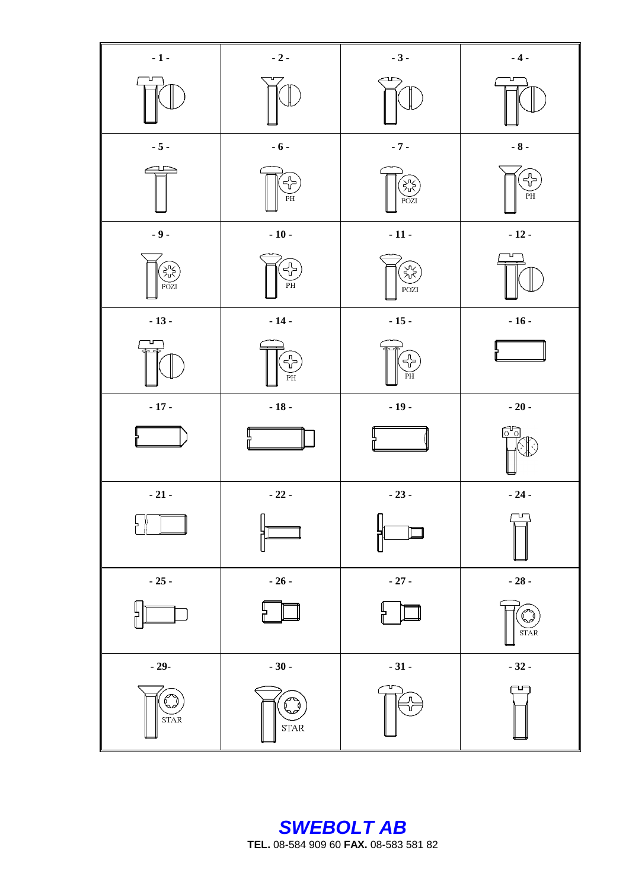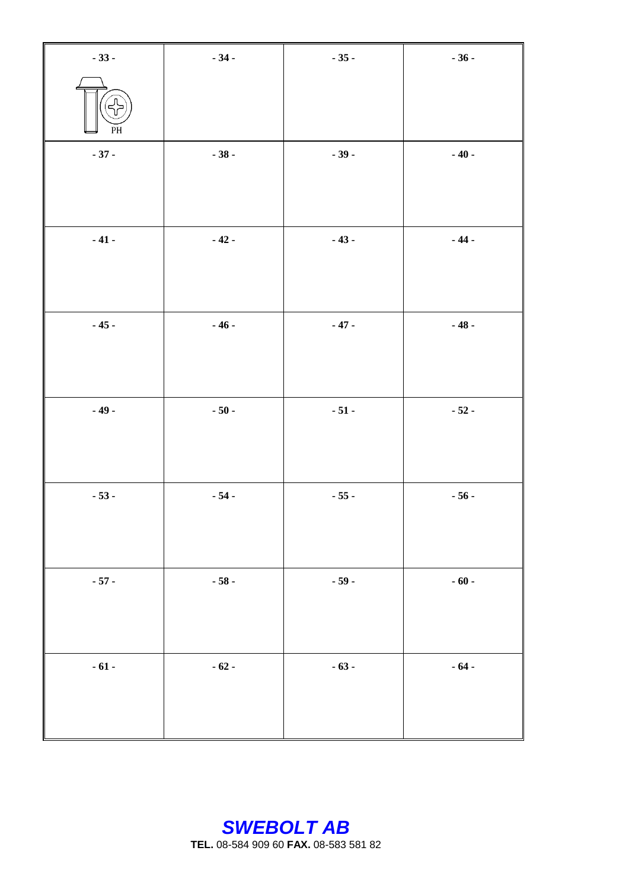| $-33-$                      | $-34-$ | $-35-$ | $-36-$ |
|-----------------------------|--------|--------|--------|
| ्त<br>रा<br>$\overline{PH}$ |        |        |        |
| $-37-$                      | $-38-$ | $-39-$ | $-40-$ |
|                             |        |        |        |
| $-41-$                      | $-42-$ | $-43-$ | $-44-$ |
|                             |        |        |        |
| $-45-$                      | $-46-$ | $-47-$ | $-48-$ |
|                             |        |        |        |
| $-49-$                      | $-50-$ | $-51-$ | $-52-$ |
|                             |        |        |        |
| $-53-$                      | $-54-$ | $-55-$ | $-56-$ |
|                             |        |        |        |
| $-57-$                      | $-58-$ | $-59-$ | $-60-$ |
|                             |        |        |        |
| $-61-$                      | $-62-$ | $-63-$ | $-64-$ |
|                             |        |        |        |
|                             |        |        |        |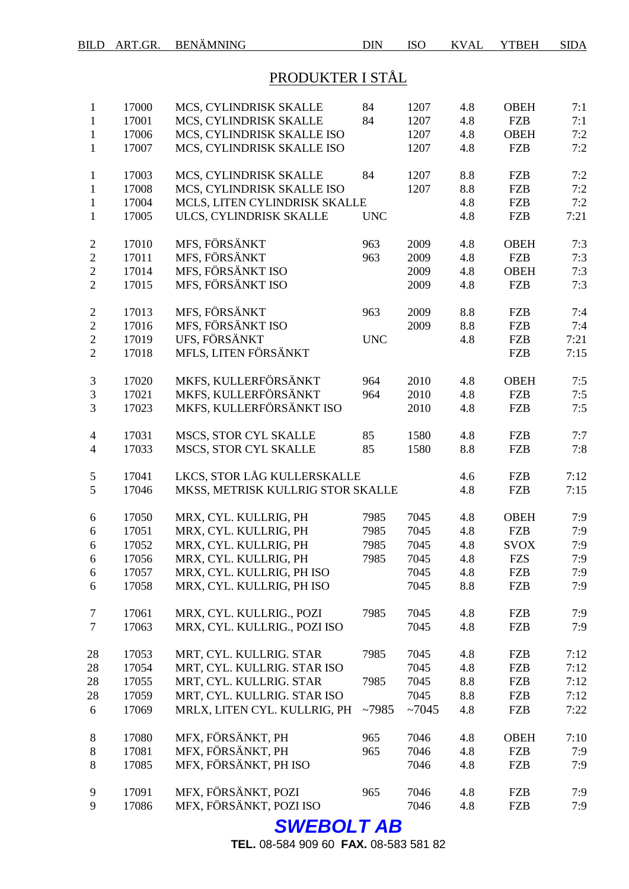# PRODUKTER I STÅL

| $\mathbf{1}$<br>$\mathbf{1}$<br>$\mathbf{1}$<br>$\mathbf{1}$ | 17000<br>17001<br>17006<br>17007 | MCS, CYLINDRISK SKALLE<br>MCS, CYLINDRISK SKALLE<br>MCS, CYLINDRISK SKALLE ISO<br>MCS, CYLINDRISK SKALLE ISO | 84<br>84   | 1207<br>1207<br>1207<br>1207 | 4.8<br>4.8<br>4.8<br>4.8 | <b>OBEH</b><br><b>FZB</b><br><b>OBEH</b><br><b>FZB</b> | 7:1<br>7:1<br>7:2<br>7:2 |
|--------------------------------------------------------------|----------------------------------|--------------------------------------------------------------------------------------------------------------|------------|------------------------------|--------------------------|--------------------------------------------------------|--------------------------|
| $\mathbf{1}$<br>$\mathbf{1}$<br>$\mathbf{1}$                 | 17003<br>17008<br>17004          | MCS, CYLINDRISK SKALLE<br>MCS, CYLINDRISK SKALLE ISO<br>MCLS, LITEN CYLINDRISK SKALLE                        | 84         | 1207<br>1207                 | 8.8<br>8.8<br>4.8        | <b>FZB</b><br><b>FZB</b><br><b>FZB</b>                 | 7:2<br>7:2<br>7:2        |
| $\mathbf{1}$                                                 | 17005                            | ULCS, CYLINDRISK SKALLE                                                                                      | <b>UNC</b> |                              | 4.8                      | <b>FZB</b>                                             | 7:21                     |
| $\mathfrak{2}$                                               | 17010                            | MFS, FÖRSÄNKT                                                                                                | 963        | 2009                         | 4.8                      | <b>OBEH</b>                                            | 7:3                      |
| $\overline{c}$                                               | 17011                            | MFS, FÖRSÄNKT                                                                                                | 963        | 2009                         | 4.8                      | <b>FZB</b>                                             | 7:3                      |
| $\overline{c}$                                               | 17014                            | MFS, FÖRSÄNKT ISO                                                                                            |            | 2009                         | 4.8                      | <b>OBEH</b>                                            | 7:3                      |
| $\overline{2}$                                               | 17015                            | MFS, FÖRSÄNKT ISO                                                                                            |            | 2009                         | 4.8                      | <b>FZB</b>                                             | 7:3                      |
| $\mathbf{2}$                                                 | 17013                            | MFS, FÖRSÄNKT                                                                                                | 963        | 2009                         | 8.8                      | <b>FZB</b>                                             | 7:4                      |
| $\overline{2}$                                               | 17016                            | MFS, FÖRSÄNKT ISO                                                                                            |            | 2009                         | 8.8                      | <b>FZB</b>                                             | 7:4                      |
| $\overline{2}$                                               | 17019                            | UFS, FÖRSÄNKT                                                                                                | <b>UNC</b> |                              | 4.8                      | <b>FZB</b>                                             | 7:21                     |
| $\overline{2}$                                               | 17018                            | MFLS, LITEN FÖRSÄNKT                                                                                         |            |                              |                          | <b>FZB</b>                                             | 7:15                     |
| $\mathfrak{Z}$                                               | 17020                            | MKFS, KULLERFÖRSÄNKT                                                                                         | 964        | 2010                         | 4.8                      | <b>OBEH</b>                                            | 7:5                      |
| 3                                                            | 17021                            | MKFS, KULLERFÖRSÄNKT                                                                                         | 964        | 2010                         | 4.8                      | <b>FZB</b>                                             | 7:5                      |
| 3                                                            | 17023                            | MKFS, KULLERFÖRSÄNKT ISO                                                                                     |            | 2010                         | 4.8                      | <b>FZB</b>                                             | 7:5                      |
| $\overline{\mathcal{A}}$                                     | 17031                            | MSCS, STOR CYL SKALLE                                                                                        | 85         | 1580                         | 4.8                      | <b>FZB</b>                                             | 7:7                      |
| $\overline{4}$                                               | 17033                            | MSCS, STOR CYL SKALLE                                                                                        | 85         | 1580                         | 8.8                      | <b>FZB</b>                                             | 7:8                      |
| 5                                                            | 17041                            | LKCS, STOR LÅG KULLERSKALLE                                                                                  |            |                              | 4.6                      | <b>FZB</b>                                             | 7:12                     |
| 5                                                            | 17046                            | MKSS, METRISK KULLRIG STOR SKALLE                                                                            |            |                              | 4.8                      | <b>FZB</b>                                             | 7:15                     |
| 6                                                            | 17050                            | MRX, CYL. KULLRIG, PH                                                                                        | 7985       | 7045                         | 4.8                      | <b>OBEH</b>                                            | 7:9                      |
| 6                                                            | 17051                            | MRX, CYL. KULLRIG, PH                                                                                        | 7985       | 7045                         | 4.8                      | <b>FZB</b>                                             | 7:9                      |
| 6                                                            | 17052                            | MRX, CYL. KULLRIG, PH                                                                                        | 7985       | 7045                         | 4.8                      | <b>SVOX</b>                                            | 7:9                      |
| 6                                                            | 17056                            | MRX, CYL. KULLRIG, PH                                                                                        | 7985       | 7045                         | 4.8                      | <b>FZS</b>                                             | 7:9                      |
| 6                                                            | 17057                            | MRX, CYL. KULLRIG, PH ISO                                                                                    |            | 7045                         | 4.8                      | FZB                                                    | 7:9                      |
| 6                                                            | 17058                            | MRX, CYL. KULLRIG, PH ISO                                                                                    |            | 7045                         | 8.8                      | <b>FZB</b>                                             | 7:9                      |
| 7                                                            | 17061                            | MRX, CYL. KULLRIG., POZI                                                                                     | 7985       | 7045                         | 4.8                      | <b>FZB</b>                                             | 7:9                      |
| $\tau$                                                       | 17063                            | MRX, CYL. KULLRIG., POZI ISO                                                                                 |            | 7045                         | 4.8                      | <b>FZB</b>                                             | 7:9                      |
| 28                                                           | 17053                            | MRT, CYL. KULLRIG. STAR                                                                                      | 7985       | 7045                         | 4.8                      | <b>FZB</b>                                             | 7:12                     |
| 28                                                           | 17054                            | MRT, CYL. KULLRIG. STAR ISO                                                                                  |            | 7045                         | 4.8                      | <b>FZB</b>                                             | 7:12                     |
| 28                                                           | 17055                            | MRT, CYL. KULLRIG. STAR                                                                                      | 7985       | 7045                         | 8.8                      | <b>FZB</b>                                             | 7:12                     |
| 28                                                           | 17059                            | MRT, CYL. KULLRIG. STAR ISO                                                                                  |            | 7045                         | 8.8                      | <b>FZB</b>                                             | 7:12                     |
| 6                                                            | 17069                            | MRLX, LITEN CYL. KULLRIG, PH                                                                                 | ~17985     | ~1045                        | 4.8                      | <b>FZB</b>                                             | 7:22                     |
| $8\,$                                                        | 17080                            | MFX, FÖRSÄNKT, PH                                                                                            | 965        | 7046                         | 4.8                      | <b>OBEH</b>                                            | 7:10                     |
| 8                                                            | 17081                            | MFX, FÖRSÄNKT, PH                                                                                            | 965        | 7046                         | 4.8                      | <b>FZB</b>                                             | 7:9                      |
| 8                                                            | 17085                            | MFX, FÖRSÄNKT, PH ISO                                                                                        |            | 7046                         | 4.8                      | <b>FZB</b>                                             | 7:9                      |
| 9                                                            | 17091                            | MFX, FÖRSÄNKT, POZI                                                                                          | 965        | 7046                         | 4.8                      | <b>FZB</b>                                             | 7:9                      |
| 9                                                            | 17086                            | MFX, FÖRSÄNKT, POZI ISO                                                                                      |            | 7046                         | 4.8                      | <b>FZB</b>                                             | 7:9                      |
|                                                              |                                  |                                                                                                              |            |                              |                          |                                                        |                          |

*SWEBOLT AB*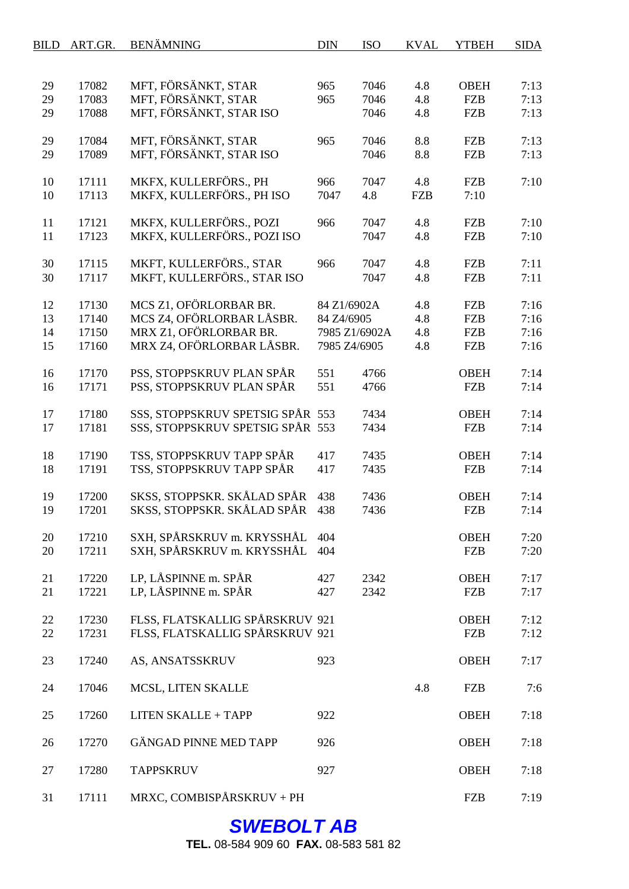| BILD | ART.GR. | <b>BENÄMNING</b>                                               | <b>DIN</b>   | <b>ISO</b>    | <b>KVAL</b> | <b>YTBEH</b> | <b>SIDA</b> |
|------|---------|----------------------------------------------------------------|--------------|---------------|-------------|--------------|-------------|
|      |         |                                                                |              |               |             |              |             |
| 29   | 17082   | MFT, FÖRSÄNKT, STAR                                            | 965          | 7046          | 4.8         | <b>OBEH</b>  | 7:13        |
| 29   | 17083   | MFT, FÖRSÄNKT, STAR                                            | 965          | 7046          | 4.8         | <b>FZB</b>   | 7:13        |
| 29   | 17088   | MFT, FÖRSÄNKT, STAR ISO                                        |              | 7046          | 4.8         | <b>FZB</b>   | 7:13        |
| 29   | 17084   | MFT, FÖRSÄNKT, STAR                                            | 965          | 7046          | 8.8         | <b>FZB</b>   | 7:13        |
| 29   | 17089   | MFT, FÖRSÄNKT, STAR ISO                                        |              | 7046          | 8.8         | <b>FZB</b>   | 7:13        |
| 10   | 17111   | MKFX, KULLERFÖRS., PH                                          | 966          | 7047          | 4.8         | <b>FZB</b>   | 7:10        |
| 10   | 17113   | MKFX, KULLERFÖRS., PH ISO                                      | 7047         | 4.8           | <b>FZB</b>  | 7:10         |             |
| 11   | 17121   | MKFX, KULLERFÖRS., POZI                                        | 966          | 7047          | 4.8         | <b>FZB</b>   | 7:10        |
| 11   | 17123   | MKFX, KULLERFÖRS., POZI ISO                                    |              | 7047          | 4.8         | <b>FZB</b>   | 7:10        |
| 30   | 17115   | MKFT, KULLERFÖRS., STAR                                        | 966          | 7047          | 4.8         | <b>FZB</b>   | 7:11        |
| 30   | 17117   | MKFT, KULLERFÖRS., STAR ISO                                    |              | 7047          | 4.8         | <b>FZB</b>   | 7:11        |
| 12   | 17130   | MCS Z1, OFÖRLORBAR BR.                                         | 84 Z1/6902A  |               | 4.8         | <b>FZB</b>   | 7:16        |
| 13   | 17140   | MCS Z4, OFÖRLORBAR LÅSBR.                                      | 84 Z4/6905   |               | 4.8         | <b>FZB</b>   | 7:16        |
| 14   | 17150   | MRX Z1, OFÖRLORBAR BR.                                         |              | 7985 Z1/6902A | 4.8         | <b>FZB</b>   | 7:16        |
| 15   | 17160   | MRX Z4, OFÖRLORBAR LÅSBR.                                      | 7985 ZA/6905 |               | 4.8         | <b>FZB</b>   | 7:16        |
| 16   | 17170   | PSS, STOPPSKRUV PLAN SPÅR                                      | 551          | 4766          |             | <b>OBEH</b>  | 7:14        |
| 16   | 17171   | PSS, STOPPSKRUV PLAN SPÅR                                      | 551          | 4766          |             | <b>FZB</b>   | 7:14        |
| 17   | 17180   | SSS, STOPPSKRUV SPETSIG SPÅR 553                               |              | 7434          |             | <b>OBEH</b>  | 7:14        |
| 17   | 17181   | SSS, STOPPSKRUV SPETSIG SPÅR 553                               |              | 7434          |             | <b>FZB</b>   | 7:14        |
| 18   | 17190   | TSS, STOPPSKRUV TAPP SPÅR                                      | 417          | 7435          |             | <b>OBEH</b>  | 7:14        |
| 18   | 17191   | TSS, STOPPSKRUV TAPP SPÅR                                      | 417          | 7435          |             | <b>FZB</b>   | 7:14        |
| 19   | 17200   | SKSS, STOPPSKR. SKÅLAD SPÅR                                    | 438          | 7436          |             | <b>OBEH</b>  | 7:14        |
| 19   | 17201   | SKSS, STOPPSKR. SKÅLAD SPÅR                                    | 438          | 7436          |             | <b>FZB</b>   | 7:14        |
| 20   | 17210   | SXH, SPÅRSKRUV m. KRYSSHÅL 404                                 |              |               |             | <b>OBEH</b>  | 7:20        |
| 20   | 17211   | SXH, SPÅRSKRUV m. KRYSSHÅL 404                                 |              |               |             | <b>FZB</b>   | 7:20        |
| 21   | 17220   | LP, LÅSPINNE m. SPÅR                                           | 427          | 2342          |             | <b>OBEH</b>  | 7:17        |
| 21   | 17221   | LP, LÅSPINNE m. SPÅR                                           | 427          | 2342          |             | <b>FZB</b>   | 7:17        |
| 22   | 17230   | FLSS, FLATSKALLIG SPÅRSKRUV 921                                |              |               |             | <b>OBEH</b>  | 7:12        |
| 22   | 17231   | FLSS, FLATSKALLIG SPÅRSKRUV 921                                |              |               |             | <b>FZB</b>   | 7:12        |
| 23   | 17240   | AS, ANSATSSKRUV                                                | 923          |               |             | <b>OBEH</b>  | 7:17        |
| 24   | 17046   | MCSL, LITEN SKALLE                                             |              |               | 4.8         | <b>FZB</b>   | 7:6         |
| 25   |         | <b>LITEN SKALLE + TAPP</b>                                     | 922          |               |             | <b>OBEH</b>  | 7:18        |
|      | 17260   |                                                                |              |               |             |              |             |
| 26   | 17270   | <b>GÄNGAD PINNE MED TAPP</b>                                   | 926          |               |             | <b>OBEH</b>  | 7:18        |
| 27   | 17280   | <b>TAPPSKRUV</b>                                               | 927          |               |             | <b>OBEH</b>  | 7:18        |
| 31   | 17111   | $\text{MRXC}, \text{COMBISP} \r \AA \text{RSKRUV} + \text{PH}$ |              |               |             | <b>FZB</b>   | 7:19        |

# *SWEBOLT AB*

**TEL.** 08-584 909 60 **FAX.** 08-583 581 82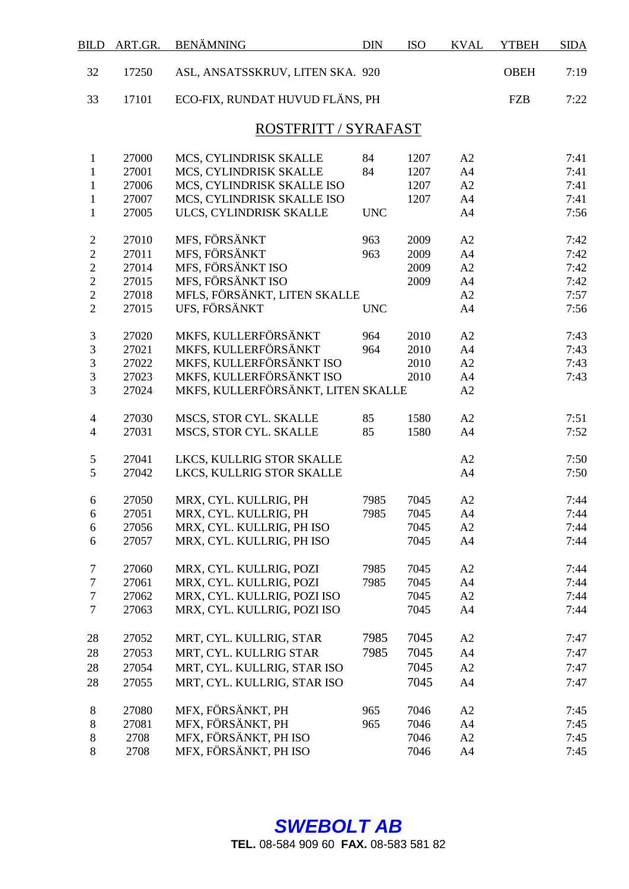| <b>BILD</b>                      | ART.GR.        | <b>BENÄMNING</b>                               | <b>DIN</b>   | <b>ISO</b>   | <b>KVAL</b>          | <b>YTBEH</b> | <b>SIDA</b>  |
|----------------------------------|----------------|------------------------------------------------|--------------|--------------|----------------------|--------------|--------------|
| 32                               | 17250          | ASL, ANSATSSKRUV, LITEN SKA. 920               |              |              |                      | <b>OBEH</b>  | 7:19         |
| 33                               | 17101          | ECO-FIX, RUNDAT HUVUD FLÄNS, PH                |              |              |                      | <b>FZB</b>   | 7:22         |
|                                  |                | ROSTFRITT / SYRAFAST                           |              |              |                      |              |              |
| $\mathbf{1}$                     | 27000          | MCS, CYLINDRISK SKALLE                         | 84           | 1207         | A2                   |              | 7:41         |
| $\mathbf{1}$                     | 27001          | MCS, CYLINDRISK SKALLE                         | 84           | 1207         | A <sub>4</sub>       |              | 7:41         |
| $\mathbf{1}$                     | 27006          | MCS, CYLINDRISK SKALLE ISO                     |              | 1207         | A2                   |              | 7:41         |
| $\mathbf{1}$                     | 27007          | MCS, CYLINDRISK SKALLE ISO                     |              | 1207         | A4                   |              | 7:41         |
| $\mathbf{1}$                     | 27005          | ULCS, CYLINDRISK SKALLE                        | <b>UNC</b>   |              | A4                   |              | 7:56         |
|                                  |                |                                                |              |              |                      |              |              |
| $\sqrt{2}$                       | 27010          | MFS, FÖRSÄNKT<br>MFS, FÖRSÄNKT                 | 963          | 2009         | A2                   |              | 7:42         |
| $\overline{c}$<br>$\overline{2}$ | 27011          |                                                | 963          | 2009         | A4                   |              | 7:42         |
|                                  | 27014<br>27015 | MFS, FÖRSÄNKT ISO<br>MFS, FÖRSÄNKT ISO         |              | 2009         | A2                   |              | 7:42         |
| $\overline{c}$<br>$\overline{2}$ | 27018          | MFLS, FÖRSÄNKT, LITEN SKALLE                   |              | 2009         | A4<br>A2             |              | 7:42<br>7:57 |
| $\overline{2}$                   | 27015          | UFS, FÖRSÄNKT                                  |              |              | A4                   |              | 7:56         |
|                                  |                |                                                | <b>UNC</b>   |              |                      |              |              |
| 3                                | 27020          | MKFS, KULLERFÖRSÄNKT                           | 964          | 2010         | A2                   |              | 7:43         |
| 3                                | 27021          | MKFS, KULLERFÖRSÄNKT                           | 964          | 2010         | A <sub>4</sub>       |              | 7:43         |
| $\overline{3}$                   | 27022          | MKFS, KULLERFÖRSÄNKT ISO                       |              | 2010         | A2                   |              | 7:43         |
| $\overline{3}$                   | 27023          | MKFS, KULLERFÖRSÄNKT ISO                       |              | 2010         | A4                   |              | 7:43         |
| 3                                | 27024          | MKFS, KULLERFÖRSÄNKT, LITEN SKALLE             |              |              | A2                   |              |              |
| $\overline{4}$                   | 27030          | MSCS, STOR CYL. SKALLE                         | 85           | 1580         | A2                   |              | 7:51         |
| $\overline{4}$                   | 27031          | MSCS, STOR CYL. SKALLE                         | 85           | 1580         | A <sub>4</sub>       |              | 7:52         |
| $\sqrt{5}$                       | 27041          | LKCS, KULLRIG STOR SKALLE                      |              |              | A2                   |              | 7:50         |
| 5                                | 27042          | LKCS, KULLRIG STOR SKALLE                      |              |              | A4                   |              | 7:50         |
|                                  |                |                                                |              |              |                      |              | 7:44         |
| 6                                | 27050<br>27051 | MRX, CYL. KULLRIG, PH<br>MRX, CYL. KULLRIG, PH | 7985<br>7985 | 7045<br>7045 | A2<br>A <sub>4</sub> |              | 7:44         |
| 6<br>6                           | 27056          | MRX, CYL. KULLRIG, PH ISO                      |              | 7045         | A2                   |              | 7:44         |
| 6                                | 27057          | MRX, CYL. KULLRIG, PH ISO                      |              | 7045         | A <sub>4</sub>       |              | 7:44         |
|                                  |                |                                                |              |              |                      |              |              |
| $\boldsymbol{7}$                 | 27060          | MRX, CYL. KULLRIG, POZI                        | 7985         | 7045         | A2                   |              | 7:44         |
| $\boldsymbol{7}$                 | 27061          | MRX, CYL. KULLRIG, POZI                        | 7985         | 7045         | A <sub>4</sub>       |              | 7:44         |
| $\boldsymbol{7}$                 | 27062          | MRX, CYL. KULLRIG, POZI ISO                    |              | 7045         | A2                   |              | 7:44         |
| $\tau$                           | 27063          | MRX, CYL. KULLRIG, POZI ISO                    |              | 7045         | A <sub>4</sub>       |              | 7:44         |
| 28                               | 27052          | MRT, CYL. KULLRIG, STAR                        | 7985         | 7045         | A2                   |              | 7:47         |
| 28                               | 27053          | MRT, CYL. KULLRIG STAR                         | 7985         | 7045         | A <sub>4</sub>       |              | 7:47         |
| 28                               | 27054          | MRT, CYL. KULLRIG, STAR ISO                    |              | 7045         | A2                   |              | 7:47         |
| 28                               | 27055          | MRT, CYL. KULLRIG, STAR ISO                    |              | 7045         | A4                   |              | 7:47         |
|                                  |                |                                                |              |              |                      |              |              |
| $8\phantom{1}$                   | 27080          | MFX, FÖRSÄNKT, PH                              | 965          | 7046         | A2                   |              | 7:45         |
| $\,8\,$                          | 27081          | MFX, FÖRSÄNKT, PH                              | 965          | 7046         | A <sub>4</sub>       |              | 7:45         |
| $\,8$                            | 2708           | MFX, FÖRSÄNKT, PH ISO                          |              | 7046         | A2                   |              | 7:45         |
| 8                                | 2708           | MFX, FÖRSÄNKT, PH ISO                          |              | 7046         | A <sub>4</sub>       |              | 7:45         |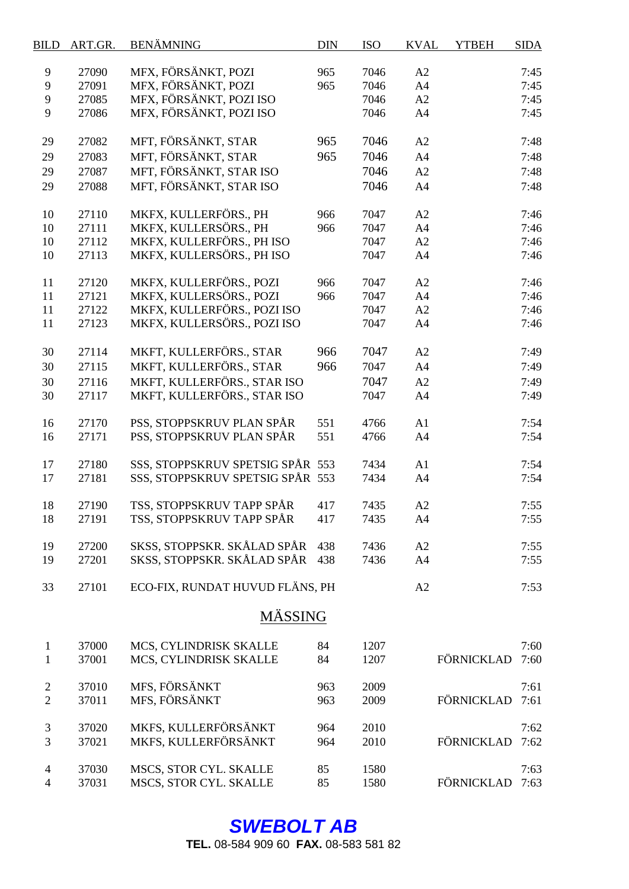| <b>BILD</b>              | ART.GR. | <b>BENÄMNING</b>                 | <b>DIN</b> | <b>ISO</b> | <b>KVAL</b>    | <b>YTBEH</b> | <b>SIDA</b> |
|--------------------------|---------|----------------------------------|------------|------------|----------------|--------------|-------------|
| 9                        | 27090   | MFX, FÖRSÄNKT, POZI              | 965        | 7046       | A2             |              | 7:45        |
| 9                        | 27091   | MFX, FÖRSÄNKT, POZI              | 965        | 7046       | A4             |              | 7:45        |
| 9                        | 27085   | MFX, FÖRSÄNKT, POZI ISO          |            | 7046       | A2             |              | 7:45        |
| 9                        | 27086   | MFX, FÖRSÄNKT, POZI ISO          |            | 7046       | A4             |              | 7:45        |
|                          |         |                                  |            |            |                |              |             |
| 29                       | 27082   | MFT, FÖRSÄNKT, STAR              | 965        | 7046       | A2             |              | 7:48        |
| 29                       | 27083   | MFT, FÖRSÄNKT, STAR              | 965        | 7046       | A <sub>4</sub> |              | 7:48        |
| 29                       | 27087   | MFT, FÖRSÄNKT, STAR ISO          |            | 7046       | A2             |              | 7:48        |
| 29                       | 27088   | MFT, FÖRSÄNKT, STAR ISO          |            | 7046       | A4             |              | 7:48        |
| 10                       | 27110   | MKFX, KULLERFÖRS., PH            | 966        | 7047       | A2             |              | 7:46        |
| 10                       | 27111   | MKFX, KULLERSÖRS., PH            | 966        | 7047       | A4             |              | 7:46        |
| 10                       | 27112   | MKFX, KULLERFÖRS., PH ISO        |            | 7047       | A2             |              | 7:46        |
| 10                       | 27113   | MKFX, KULLERSÖRS., PH ISO        |            | 7047       | A4             |              | 7:46        |
|                          |         |                                  |            |            |                |              |             |
| 11                       | 27120   | MKFX, KULLERFÖRS., POZI          | 966        | 7047       | A2             |              | 7:46        |
| 11                       | 27121   | MKFX, KULLERSÖRS., POZI          | 966        | 7047       | A4             |              | 7:46        |
| 11                       | 27122   | MKFX, KULLERFÖRS., POZI ISO      |            | 7047       | A2             |              | 7:46        |
| 11                       | 27123   | MKFX, KULLERSÖRS., POZI ISO      |            | 7047       | A4             |              | 7:46        |
| 30                       | 27114   | MKFT, KULLERFÖRS., STAR          | 966        | 7047       | A2             |              | 7:49        |
| 30                       | 27115   | MKFT, KULLERFÖRS., STAR          | 966        | 7047       | A4             |              | 7:49        |
| 30                       | 27116   | MKFT, KULLERFÖRS., STAR ISO      |            | 7047       | A2             |              | 7:49        |
| 30                       | 27117   | MKFT, KULLERFÖRS., STAR ISO      |            | 7047       | A <sub>4</sub> |              | 7:49        |
|                          |         |                                  |            |            |                |              |             |
| 16                       | 27170   | PSS, STOPPSKRUV PLAN SPÅR        | 551        | 4766       | A1             |              | 7:54        |
| 16                       | 27171   | PSS, STOPPSKRUV PLAN SPÅR        | 551        | 4766       | A4             |              | 7:54        |
| 17                       | 27180   | SSS, STOPPSKRUV SPETSIG SPÅR 553 |            | 7434       | A1             |              | 7:54        |
| 17                       | 27181   | SSS, STOPPSKRUV SPETSIG SPÅR 553 |            | 7434       | A4             |              | 7:54        |
|                          |         |                                  |            |            |                |              |             |
| 18                       | 27190   | TSS, STOPPSKRUV TAPP SPÅR        | 417        | 7435       | A2             |              | 7:55        |
| 18                       | 27191   | TSS, STOPPSKRUV TAPP SPÅR        | 417        | 7435       | A4             |              | 7:55        |
| 19                       | 27200   | SKSS, STOPPSKR. SKÅLAD SPÅR      | 438        | 7436       | A2             |              | 7:55        |
| 19                       | 27201   | SKSS, STOPPSKR. SKÅLAD SPÅR      | 438        | 7436       | A4             |              | 7:55        |
| 33                       | 27101   | ECO-FIX, RUNDAT HUVUD FLÄNS, PH  |            |            | A2             |              | 7:53        |
|                          |         | <b>MÄSSING</b>                   |            |            |                |              |             |
|                          | 37000   |                                  |            |            |                |              |             |
| $\mathbf{1}$             |         | MCS, CYLINDRISK SKALLE           | 84         | 1207       |                | FÖRNICKLAD   | 7:60        |
| $\mathbf{1}$             | 37001   | MCS, CYLINDRISK SKALLE           | 84         | 1207       |                |              | 7:60        |
| $\sqrt{2}$               | 37010   | MFS, FÖRSÄNKT                    | 963        | 2009       |                |              | 7:61        |
| $\overline{2}$           | 37011   | MFS, FÖRSÄNKT                    | 963        | 2009       |                | FÖRNICKLAD   | 7:61        |
| 3                        | 37020   | MKFS, KULLERFÖRSÄNKT             | 964        | 2010       |                |              | 7:62        |
| 3                        | 37021   | MKFS, KULLERFÖRSÄNKT             | 964        | 2010       |                | FÖRNICKLAD   | 7:62        |
| $\overline{\mathcal{A}}$ | 37030   | MSCS, STOR CYL. SKALLE           | 85         | 1580       |                |              | 7:63        |
| $\overline{\mathcal{A}}$ | 37031   | MSCS, STOR CYL. SKALLE           | 85         | 1580       |                | FÖRNICKLAD   | 7:63        |
|                          |         |                                  |            |            |                |              |             |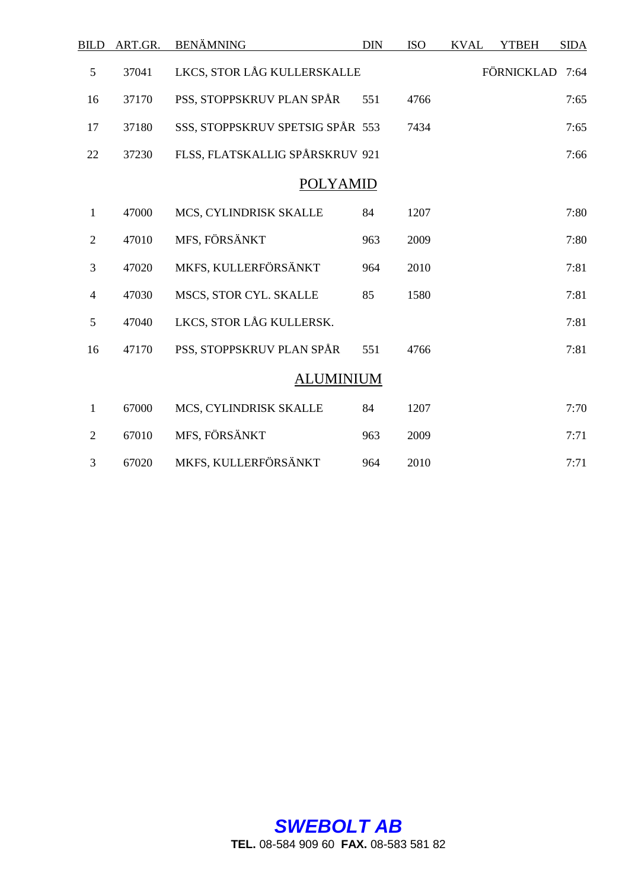| <b>BILD</b>    | ART.GR. | <b>BENÄMNING</b>                 | <b>DIN</b> | <b>ISO</b> | <b>KVAL</b> | <b>YTBEH</b>    | <b>SIDA</b> |
|----------------|---------|----------------------------------|------------|------------|-------------|-----------------|-------------|
| 5              | 37041   | LKCS, STOR LÅG KULLERSKALLE      |            |            |             | FÖRNICKLAD 7:64 |             |
| 16             | 37170   | PSS, STOPPSKRUV PLAN SPÅR        | 551        | 4766       |             |                 | 7:65        |
| 17             | 37180   | SSS, STOPPSKRUV SPETSIG SPÅR 553 |            | 7434       |             |                 | 7:65        |
| 22             | 37230   | FLSS, FLATSKALLIG SPÅRSKRUV 921  |            |            |             |                 | 7:66        |
|                |         | <b>POLYAMID</b>                  |            |            |             |                 |             |
| $\mathbf{1}$   | 47000   | MCS, CYLINDRISK SKALLE           | 84         | 1207       |             |                 | 7:80        |
| $\mathfrak{2}$ | 47010   | MFS, FÖRSÄNKT                    | 963        | 2009       |             |                 | 7:80        |
| $\mathfrak{Z}$ | 47020   | MKFS, KULLERFÖRSÄNKT             | 964        | 2010       |             |                 | 7:81        |
| 4              | 47030   | MSCS, STOR CYL. SKALLE           | 85         | 1580       |             |                 | 7:81        |
| 5              | 47040   | LKCS, STOR LÅG KULLERSK.         |            |            |             |                 | 7:81        |
| 16             | 47170   | PSS, STOPPSKRUV PLAN SPÅR        | 551        | 4766       |             |                 | 7:81        |
|                |         | <b>ALUMINIUM</b>                 |            |            |             |                 |             |
| $\mathbf{1}$   | 67000   | MCS, CYLINDRISK SKALLE           | 84         | 1207       |             |                 | 7:70        |
| $\overline{2}$ | 67010   | MFS, FÖRSÄNKT                    | 963        | 2009       |             |                 | 7:71        |
| 3              | 67020   | MKFS, KULLERFÖRSÄNKT             | 964        | 2010       |             |                 | 7:71        |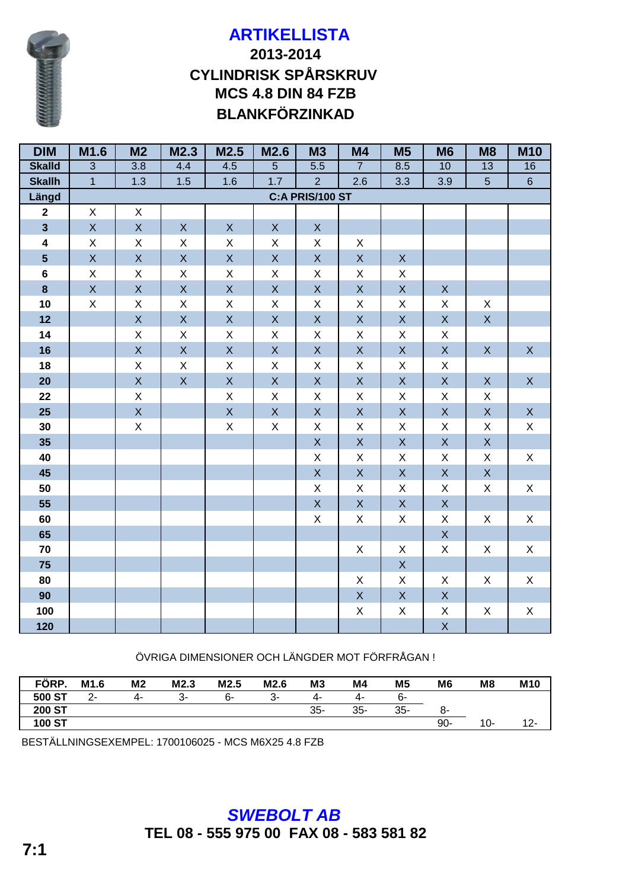

# **BLANKFÖRZINKAD 2013-2014 CYLINDRISK SPÅRSKRUV MCS 4.8 DIN 84 FZB**

| <b>DIM</b>              | M1.6           | M <sub>2</sub>          | M2.3                      | M2.5                    | M2.6                    | <b>M3</b>              | <b>M4</b>          | <b>M5</b>             | M <sub>6</sub>                       | M <sub>8</sub>     | <b>M10</b>  |
|-------------------------|----------------|-------------------------|---------------------------|-------------------------|-------------------------|------------------------|--------------------|-----------------------|--------------------------------------|--------------------|-------------|
| <b>Skalld</b>           | $\overline{3}$ | 3.8                     | 4.4                       | 4.5                     | 5                       | $\overline{5.5}$       | $\overline{7}$     | 8.5                   | 10                                   | 13                 | 16          |
| <b>Skallh</b>           | $\overline{1}$ | 1.3                     | 1.5                       | 1.6                     | $1.7$                   | $\overline{2}$         | 2.6                | 3.3                   | 3.9                                  | $\overline{5}$     | $\,6\,$     |
| Längd                   |                |                         |                           |                         |                         | <b>C:A PRIS/100 ST</b> |                    |                       |                                      |                    |             |
| $\mathbf{2}$            | $\mathsf{X}$   | $\mathsf X$             |                           |                         |                         |                        |                    |                       |                                      |                    |             |
| $\overline{\mathbf{3}}$ | $\mathsf{X}$   | $\mathsf{X}$            | $\mathsf{X}$              | $\mathsf{X}$            | $\mathsf X$             | $\mathsf X$            |                    |                       |                                      |                    |             |
| $\overline{\mathbf{4}}$ | $\mathsf X$    | X                       | X                         | X                       | X                       | X                      | X                  |                       |                                      |                    |             |
| $\overline{\mathbf{5}}$ | $\mathsf X$    | $\mathsf{X}$            | $\mathsf X$               | $\mathsf{X}% _{0}$      | $\mathsf X$             | $\mathsf X$            | $\mathsf X$        | $\mathsf{X}$          |                                      |                    |             |
| $6\phantom{a}$          | $\mathsf X$    | $\mathsf X$             | $\mathsf X$               | X                       | $\mathsf X$             | X                      | $\mathsf X$        | X                     |                                      |                    |             |
| 8                       | $\mathsf X$    | $\mathsf{X}$            | $\mathsf{X}$              | $\mathsf{X}$            | $\mathsf X$             | $\mathsf X$            | $\mathsf X$        | $\mathsf X$           | $\mathsf X$                          |                    |             |
| 10                      | $\mathsf X$    | $\mathsf X$             | $\boldsymbol{\mathsf{X}}$ | X                       | $\mathsf X$             | $\mathsf X$            | $\pmb{\times}$     | $\mathsf X$           | $\mathsf X$                          | $\mathsf X$        |             |
| 12                      |                | $\overline{X}$          | $\overline{X}$            | $\mathsf{X}$            | $\overline{\mathsf{X}}$ | $\mathsf{X}$           | $\bar{\mathsf{X}}$ | $\mathsf{X}^{\!\top}$ | $\mathsf{X}^{\scriptscriptstyle{+}}$ | $\bar{\mathsf{X}}$ |             |
| 14                      |                | $\mathsf X$             | $\mathsf X$               | $\mathsf X$             | X                       | X                      | X                  | X                     | $\mathsf X$                          |                    |             |
| 16                      |                | $\mathsf{X}$            | $\mathsf X$               | $\mathsf{X}% _{0}$      | $\mathsf X$             | $\mathsf X$            | $\mathsf X$        | $\mathsf X$           | $\mathsf X$                          | $\mathsf X$        | $\mathsf X$ |
| 18                      |                | $\mathsf X$             | $\mathsf X$               | Χ                       | $\mathsf X$             | $\mathsf X$            | $\mathsf X$        | X                     | $\mathsf X$                          |                    |             |
| 20                      |                | $\overline{\mathsf{X}}$ | $\mathsf X$               | $\mathsf{X}% _{0}$      | $\mathsf X$             | $\mathsf X$            | $\mathsf X$        | $\mathsf X$           | $\mathsf X$                          | $\mathsf X$        | $\mathsf X$ |
| 22                      |                | $\mathsf X$             |                           | $\mathsf X$             | $\mathsf X$             | $\mathsf X$            | $\mathsf X$        | $\mathsf X$           | $\mathsf X$                          | $\mathsf X$        |             |
| 25                      |                | $\overline{X}$          |                           | $\overline{\mathsf{X}}$ | $\bar{\mathsf{X}}$      | $\bar{\mathsf{X}}$     | $\bar{\mathsf{X}}$ | $\mathsf{X}$          | $\mathsf{X}$                         | $\mathsf{X}$       | $\mathsf X$ |
| 30                      |                | X                       |                           | $\mathsf X$             | $\mathsf X$             | $\mathsf X$            | $\mathsf X$        | X                     | $\mathsf X$                          | X                  | $\mathsf X$ |
| 35                      |                |                         |                           |                         |                         | $\mathsf X$            | $\mathsf X$        | $\mathsf X$           | $\mathsf X$                          | $\mathsf X$        |             |
| 40                      |                |                         |                           |                         |                         | $\mathsf X$            | $\mathsf X$        | $\mathsf X$           | $\mathsf X$                          | $\mathsf X$        | $\mathsf X$ |
| 45                      |                |                         |                           |                         |                         | $\mathsf X$            | $\mathsf X$        | $\mathsf X$           | $\mathsf X$                          | $\mathsf X$        |             |
| 50                      |                |                         |                           |                         |                         | $\mathsf X$            | X                  | X                     | X                                    | $\mathsf X$        | X           |
| 55                      |                |                         |                           |                         |                         | $\bar{X}$              | $\bar{\mathsf{X}}$ | $\mathsf{X}$          | $\mathsf{X}$                         |                    |             |
| 60                      |                |                         |                           |                         |                         | $\mathsf X$            | $\mathsf X$        | $\mathsf X$           | $\mathsf X$                          | $\mathsf X$        | $\mathsf X$ |
| 65                      |                |                         |                           |                         |                         |                        |                    |                       | $\mathsf X$                          |                    |             |
| 70                      |                |                         |                           |                         |                         |                        | $\mathsf X$        | X                     | $\mathsf X$                          | X                  | $\mathsf X$ |
| 75                      |                |                         |                           |                         |                         |                        |                    | $\mathsf X$           |                                      |                    |             |
| 80                      |                |                         |                           |                         |                         |                        | $\mathsf X$        | X                     | X                                    | X                  | X           |
| 90                      |                |                         |                           |                         |                         |                        | $\mathsf X$        | $\mathsf{X}$          | $\mathsf X$                          |                    |             |
| 100                     |                |                         |                           |                         |                         |                        | $\mathsf X$        | $\mathsf X$           | $\mathsf X$                          | $\mathsf X$        | $\mathsf X$ |
| 120                     |                |                         |                           |                         |                         |                        |                    |                       | $\mathsf X$                          |                    |             |

ÖVRIGA DIMENSIONER OCH LÄNGDER MOT FÖRFRÅGAN !

| FÖRP.         | M1.6         | M <sub>2</sub> | M2.3 | M2.5 | M2.6 | M <sub>3</sub> | M4     | M <sub>5</sub> | M <sub>6</sub> | M <sub>8</sub> | M <sub>10</sub> |
|---------------|--------------|----------------|------|------|------|----------------|--------|----------------|----------------|----------------|-----------------|
| 500 ST        | $\sim$<br>-ے | 4-             |      | 6-   | - 3  | 4-             | 4-     | 6-             |                |                |                 |
| <b>200 ST</b> |              |                |      |      |      | $35-$          | $35 -$ | 35-            | ୪-             |                |                 |
| <b>100 ST</b> |              |                |      |      |      |                |        |                | $90 -$         | 10-            | $12 -$          |

BESTÄLLNINGSEXEMPEL: 1700106025 - MCS M6X25 4.8 FZB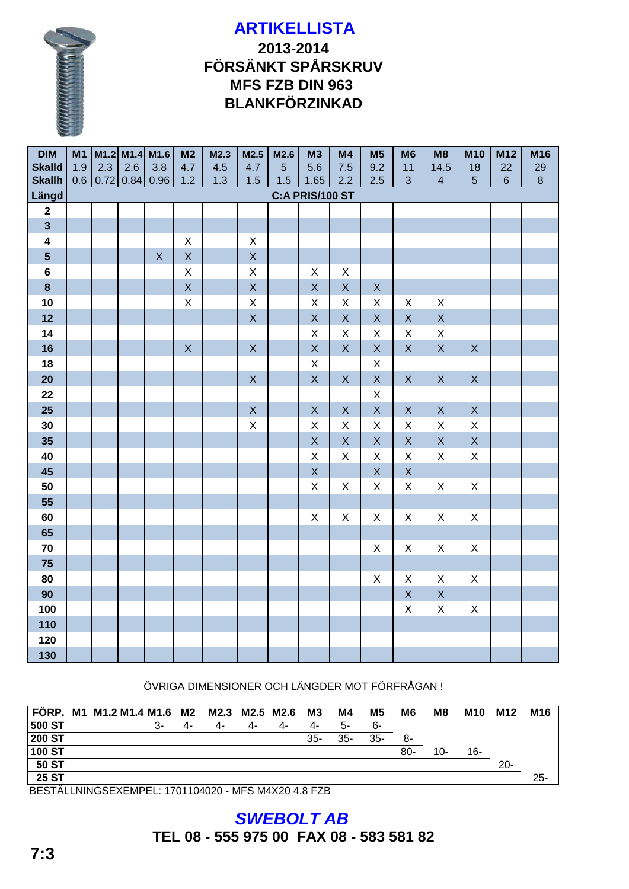# 

## **2013-2014 FÖRSÄNKT SPÅRSKRUV MFS FZB DIN 963 BLANKFÖRZINKAD**

| <b>DIM</b>              | M1  |     |             | $M1.2$ M1.4 M1.6        | M <sub>2</sub> | M2.3 | M2.5               | M2.6 | M3                      | M4           | M <sub>5</sub> | M <sub>6</sub>            | M <sub>8</sub>            | <b>M10</b>      | M12             | M16            |
|-------------------------|-----|-----|-------------|-------------------------|----------------|------|--------------------|------|-------------------------|--------------|----------------|---------------------------|---------------------------|-----------------|-----------------|----------------|
| <b>Skalld</b>           | 1.9 | 2.3 | 2.6         | 3.8                     | 4.7            | 4.5  | 4.7                | 5    | 5.6                     | 7.5          | 9.2            | 11                        | 14.5                      | $\overline{18}$ | $\overline{22}$ | 29             |
| <b>Skallh</b>           | 0.6 |     | 0.72   0.84 | 0.96                    | 1.2            | 1.3  | 1.5                | 1.5  | 1.65                    | 2.2          | 2.5            | $\overline{3}$            | $\overline{4}$            | $\overline{5}$  | $\overline{6}$  | $\overline{8}$ |
| Längd                   |     |     |             |                         |                |      |                    |      | <b>C:A PRIS/100 ST</b>  |              |                |                           |                           |                 |                 |                |
| $\mathbf{2}$            |     |     |             |                         |                |      |                    |      |                         |              |                |                           |                           |                 |                 |                |
| $\overline{3}$          |     |     |             |                         |                |      |                    |      |                         |              |                |                           |                           |                 |                 |                |
| $\overline{\mathbf{4}}$ |     |     |             |                         | X              |      | X                  |      |                         |              |                |                           |                           |                 |                 |                |
| $5\phantom{a}$          |     |     |             | $\overline{\mathsf{X}}$ | $\mathsf{X}$   |      | $\overline{X}$     |      |                         |              |                |                           |                           |                 |                 |                |
| $6\phantom{1}$          |     |     |             |                         | X              |      | $\mathsf X$        |      | X                       | X            |                |                           |                           |                 |                 |                |
| $\bf{8}$                |     |     |             |                         | $\mathsf{X}$   |      | $\overline{X}$     |      | $\mathsf X$             | $\mathsf{X}$ | $\mathsf{X}$   |                           |                           |                 |                 |                |
| 10                      |     |     |             |                         | $\mathsf{X}$   |      | $\mathsf{X}% _{0}$ |      | $\mathsf X$             | $\mathsf{X}$ | $\mathsf X$    | $\pmb{\times}$            | X                         |                 |                 |                |
| 12                      |     |     |             |                         |                |      | $\mathsf{X}$       |      | $\overline{X}$          | $\mathsf{X}$ | $\mathsf{X}$   | $\mathsf X$               | $\mathsf{X}$              |                 |                 |                |
| 14                      |     |     |             |                         |                |      |                    |      | $\mathsf X$             | $\mathsf{X}$ | $\mathsf{X}$   | $\mathsf X$               | $\mathsf X$               |                 |                 |                |
| 16                      |     |     |             |                         | X              |      | X                  |      | $\mathsf X$             | X            | $\overline{X}$ | $\mathsf{X}$              | $\mathsf{X}% _{0}$        | X               |                 |                |
| 18                      |     |     |             |                         |                |      |                    |      | $\mathsf X$             |              | $\mathsf{X}$   |                           |                           |                 |                 |                |
| 20                      |     |     |             |                         |                |      | $\mathsf{X}$       |      | $\mathsf{X}$            | X            | $\overline{X}$ | $\mathsf{X}$              | $\mathsf{X}$              | $\mathsf{X}$    |                 |                |
| 22                      |     |     |             |                         |                |      |                    |      |                         |              | $\pmb{\times}$ |                           |                           |                 |                 |                |
| 25                      |     |     |             |                         |                |      | $\mathsf{X}$       |      | $\mathsf{X}$            | $\mathsf{X}$ | $\overline{X}$ | $\mathsf{X}$              | $\mathsf{X}$              | $\mathsf{X}$    |                 |                |
| 30                      |     |     |             |                         |                |      | X                  |      | X                       | X            | $\pmb{\times}$ | X                         | X                         | X               |                 |                |
| 35                      |     |     |             |                         |                |      |                    |      | $\mathsf{X}$            | $\mathsf{X}$ | $\overline{X}$ | $\mathsf{X}$              | $\mathsf X$               | $\overline{X}$  |                 |                |
| 40                      |     |     |             |                         |                |      |                    |      | $\mathsf X$             | $\mathsf{X}$ | $\mathsf X$    | $\mathsf X$               | $\mathsf X$               | $\mathsf{X}$    |                 |                |
| 45                      |     |     |             |                         |                |      |                    |      | $\overline{\mathsf{X}}$ |              | $\overline{X}$ | $\mathsf X$               |                           |                 |                 |                |
| 50                      |     |     |             |                         |                |      |                    |      | $\pmb{\times}$          | X            | $\mathsf{X}$   | $\mathsf X$               | X                         | X               |                 |                |
| 55                      |     |     |             |                         |                |      |                    |      |                         |              |                |                           |                           |                 |                 |                |
| 60                      |     |     |             |                         |                |      |                    |      | $\pmb{\times}$          | X            | $\mathsf{X}$   | X                         | $\mathsf{X}$              | $\mathsf{X}$    |                 |                |
| 65                      |     |     |             |                         |                |      |                    |      |                         |              |                |                           |                           |                 |                 |                |
| 70                      |     |     |             |                         |                |      |                    |      |                         |              | $\mathsf{X}$   | $\boldsymbol{\mathsf{X}}$ | X                         | X               |                 |                |
| 75                      |     |     |             |                         |                |      |                    |      |                         |              |                |                           |                           |                 |                 |                |
| 80                      |     |     |             |                         |                |      |                    |      |                         |              | $\mathsf X$    | X                         | X                         | X               |                 |                |
| 90                      |     |     |             |                         |                |      |                    |      |                         |              |                | $\overline{X}$            | $\mathsf{X}$              |                 |                 |                |
| 100                     |     |     |             |                         |                |      |                    |      |                         |              |                | $\mathsf{X}$              | $\boldsymbol{\mathsf{X}}$ | X               |                 |                |
| 110                     |     |     |             |                         |                |      |                    |      |                         |              |                |                           |                           |                 |                 |                |
| 120                     |     |     |             |                         |                |      |                    |      |                         |              |                |                           |                           |                 |                 |                |
| 130                     |     |     |             |                         |                |      |                    |      |                         |              |                |                           |                           |                 |                 |                |

ÖVRIGA DIMENSIONER OCH LÄNGDER MOT FÖRFRÅGAN !

|               | FÖRP. M1 M1.2 M1.4 M1.6 M2 |    | M2.3 | M2.5 M2.6 |    | M3     | M4     | M5     | M6     | M8    | <b>M10</b> | M12    | M16    |
|---------------|----------------------------|----|------|-----------|----|--------|--------|--------|--------|-------|------------|--------|--------|
| 500 ST        | 3-                         | 4- | 4-   | 4-        | 4- | 4-     | 5-     | 6-     |        |       |            |        |        |
| <b>200 ST</b> |                            |    |      |           |    | $35 -$ | $35 -$ | $35 -$ | 8-     |       |            |        |        |
| 100 ST        |                            |    |      |           |    |        |        |        | $80 -$ | $10-$ | 16-        |        |        |
| 50ST          |                            |    |      |           |    |        |        |        |        |       |            | $20 -$ |        |
| 25ST          |                            |    |      |           |    |        |        |        |        |       |            |        | $25 -$ |

BESTÄLLNINGSEXEMPEL: 1701104020 - MFS M4X20 4.8 FZB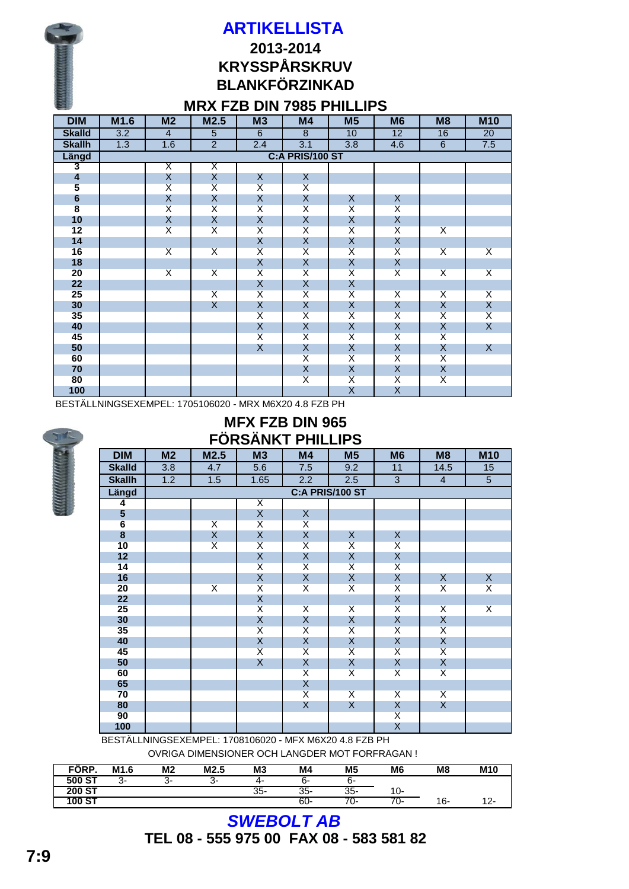

#### **MRX FZB DIN 7985 PHILLIPS**

| <b>DIM</b>                            | M1.6 | M <sub>2</sub>          | M2.5                    | M3                      | <b>M4</b>               | M <sub>5</sub>          | M <sub>6</sub>          | M <sub>8</sub>          | <b>M10</b>              |
|---------------------------------------|------|-------------------------|-------------------------|-------------------------|-------------------------|-------------------------|-------------------------|-------------------------|-------------------------|
| <b>Skalld</b>                         | 3.2  | $\overline{4}$          | $\overline{5}$          | 6                       | 8                       | 10                      | 12                      | 16                      | 20                      |
| <b>Skallh</b>                         | 1.3  | 1.6                     | $\overline{2}$          | 2.4                     | 3.1                     | 3.8                     | 4.6                     | 6                       | 7.5                     |
| Längd                                 |      |                         |                         |                         | C:A PRIS/100 ST         |                         |                         |                         |                         |
| 3                                     |      | Χ                       | Χ                       |                         |                         |                         |                         |                         |                         |
| $\overline{\mathbf{4}}$               |      | Χ                       | X                       | X                       | X                       |                         |                         |                         |                         |
| 5                                     |      | $\overline{X}$          | $\overline{\mathsf{X}}$ | $\overline{\mathsf{X}}$ | $\overline{\mathsf{X}}$ |                         |                         |                         |                         |
| $\begin{array}{c} 6 \\ 8 \end{array}$ |      | Χ                       | Χ                       | X                       | Χ                       | X                       | X                       |                         |                         |
|                                       |      | $\overline{\mathsf{X}}$ | $\overline{\mathsf{X}}$ | $\overline{\mathsf{X}}$ | $\overline{\mathsf{x}}$ | $\overline{\mathsf{X}}$ | $\overline{\mathsf{X}}$ |                         |                         |
| 10                                    |      | $\mathsf{X}$            | $\mathsf X$             | $\pmb{\mathsf{X}}$      | X                       | Χ                       | $\mathsf X$             |                         |                         |
| 12                                    |      | $\overline{\mathsf{x}}$ | $\overline{\mathsf{X}}$ | $\overline{\mathsf{x}}$ | $\overline{\mathsf{x}}$ | $\overline{\mathsf{x}}$ | $\overline{\mathsf{X}}$ | $\overline{\mathsf{x}}$ |                         |
| 14                                    |      |                         |                         | $\mathsf X$             | $\mathsf X$             | $\mathsf{X}$            | $\pmb{\mathsf{X}}$      |                         |                         |
| 16                                    |      | $\overline{\mathsf{x}}$ | $\overline{\mathsf{x}}$ | $\overline{\mathsf{X}}$ | $\overline{\mathsf{X}}$ | $\overline{\mathsf{X}}$ | $\overline{\mathsf{X}}$ | $\overline{\mathsf{x}}$ | $\overline{\mathsf{x}}$ |
| 18                                    |      |                         |                         | Χ                       | Χ                       | X                       | X                       |                         |                         |
| 20                                    |      | $\overline{\mathsf{x}}$ | $\overline{\mathsf{x}}$ | $\overline{\mathsf{X}}$ | $\overline{\mathsf{X}}$ | $\overline{\mathsf{X}}$ | $\overline{\mathsf{X}}$ | $\overline{\mathsf{X}}$ | $\overline{\mathsf{x}}$ |
| 22                                    |      |                         |                         | X                       | X                       | X                       |                         |                         |                         |
| 25                                    |      |                         | $\overline{\mathsf{X}}$ | $\overline{\mathsf{X}}$ | $\overline{\mathsf{X}}$ | $\overline{\mathsf{X}}$ | $\overline{\mathsf{X}}$ | $\overline{\mathsf{x}}$ | $\overline{\mathsf{x}}$ |
| 30                                    |      |                         | $\sf X$                 | $\pmb{\mathsf{X}}$      | X                       | X                       | $\mathsf X$             | X                       | X                       |
| 35                                    |      |                         |                         | $\overline{\mathsf{X}}$ | $\overline{\mathsf{x}}$ | $\overline{\mathsf{x}}$ | $\overline{\mathsf{X}}$ | $\overline{\mathsf{X}}$ | $\overline{\mathsf{x}}$ |
| 40                                    |      |                         |                         | $\pmb{\mathsf{X}}$      | X                       | X                       | $\mathsf X$             | Χ                       | $\mathsf{X}$            |
| 45                                    |      |                         |                         | $\overline{\mathsf{X}}$ | $\overline{\mathsf{x}}$ | $\overline{\mathsf{x}}$ | $\overline{\mathsf{X}}$ | $\overline{\mathsf{x}}$ |                         |
| 50                                    |      |                         |                         | $\sf X$                 | $\mathsf X$             | $\mathsf{X}$            | $\pmb{\mathsf{X}}$      | X                       | $\mathsf{X}$            |
| 60                                    |      |                         |                         |                         | $\overline{\mathsf{x}}$ | $\overline{\mathsf{X}}$ | $\overline{\mathsf{x}}$ | $\overline{\mathsf{X}}$ |                         |
| 70                                    |      |                         |                         |                         | X                       | X                       | Χ                       | X                       |                         |
| 80                                    |      |                         |                         |                         | $\overline{\mathsf{X}}$ | $\overline{\mathsf{X}}$ | $\overline{\mathsf{X}}$ | $\overline{\mathsf{X}}$ |                         |
| 100                                   |      |                         |                         |                         |                         | Χ                       | Χ                       |                         |                         |

BESTÄLLNINGSEXEMPEL: 1705106020 - MRX M6X20 4.8 FZB PH

|  | v<br>١ |  |
|--|--------|--|
|  |        |  |
|  |        |  |
|  |        |  |
|  |        |  |
|  |        |  |

## **MFX FZB DIN 965 FÖRSÄNKT PHILLIPS**

| <b>DIM</b>              | M <sub>2</sub> | M2.5                    | M3                      | M <sub>4</sub>          | M <sub>5</sub>          | M <sub>6</sub>          | M <sub>8</sub>          | <b>M10</b>              |
|-------------------------|----------------|-------------------------|-------------------------|-------------------------|-------------------------|-------------------------|-------------------------|-------------------------|
| <b>Skalld</b>           | 3.8            | 4.7                     | 5.6                     | 7.5                     | 9.2                     | 11                      | 14.5                    | 15                      |
| <b>Skallh</b>           | 1.2            | 1.5                     | 1.65                    | 2.2                     | 2.5                     | $\overline{3}$          | $\overline{4}$          | 5 <sup>5</sup>          |
| Längd                   |                |                         |                         |                         | <b>C:A PRIS/100 ST</b>  |                         |                         |                         |
| 4                       |                |                         | Χ                       |                         |                         |                         |                         |                         |
| $\overline{\mathbf{5}}$ |                |                         | X                       | X                       |                         |                         |                         |                         |
| $6\phantom{a}$          |                | $\overline{\mathsf{X}}$ | $\overline{\mathsf{X}}$ | $\overline{\mathsf{X}}$ |                         |                         |                         |                         |
| $\bf{8}$                |                | X                       | X                       | X                       | X                       | X                       |                         |                         |
| 10                      |                | $\overline{\mathsf{X}}$ | $\overline{\mathsf{X}}$ | $\overline{\mathsf{X}}$ | $\overline{\mathsf{X}}$ | $\overline{\mathsf{X}}$ |                         |                         |
| 12                      |                |                         | X                       | X                       | X                       | X                       |                         |                         |
| 14                      |                |                         | $\overline{\mathsf{X}}$ | $\overline{\mathsf{X}}$ | $\overline{\mathsf{X}}$ | $\overline{\mathsf{X}}$ |                         |                         |
| 16                      |                |                         | $\mathsf{X}$            | $\mathsf{X}$            | $\frac{x}{x}$           | X                       | X                       | X                       |
| 20                      |                | $\overline{\mathsf{X}}$ | $\overline{\mathsf{X}}$ | $\overline{\mathsf{X}}$ |                         | $\overline{\mathsf{X}}$ | $\overline{X}$          | $\overline{X}$          |
| 22                      |                |                         | $\mathsf{X}$            |                         |                         | $\mathsf X$             |                         |                         |
| 25                      |                |                         | $\overline{\mathsf{X}}$ | $\overline{\mathsf{X}}$ | $\overline{X}$          | $\overline{\mathsf{x}}$ | $\overline{X}$          | $\overline{\mathsf{x}}$ |
| 30                      |                |                         | Χ                       | $\mathsf{X}$            | X                       | Χ                       | X                       |                         |
| 35                      |                |                         | $\overline{\mathsf{X}}$ | $\overline{\mathsf{X}}$ | $\overline{\mathsf{X}}$ | $\overline{\mathsf{X}}$ | $\overline{X}$          |                         |
| 40                      |                |                         | X                       | X                       | X                       | Χ                       | $\mathsf{X}$            |                         |
| 45                      |                |                         | $\overline{\mathsf{X}}$ | $\overline{\mathsf{X}}$ | $\overline{\mathsf{X}}$ | $\overline{\mathsf{X}}$ | $\overline{\mathsf{X}}$ |                         |
| 50                      |                |                         | X                       | $\mathsf{X}$            | X                       | $\mathsf{X}$            | $\mathsf{X}$            |                         |
| 60                      |                |                         |                         | $\overline{\mathsf{X}}$ | $\overline{\mathsf{X}}$ | $\overline{\mathsf{X}}$ | $\overline{\mathsf{x}}$ |                         |
| 65                      |                |                         |                         | $\mathsf{X}$            |                         |                         |                         |                         |
| 70                      |                |                         |                         | $\overline{\mathsf{X}}$ | $\overline{\mathsf{X}}$ | $\overline{\mathsf{x}}$ | $\overline{X}$          |                         |
| 80                      |                |                         |                         | X                       | $\mathsf{X}$            | X                       | X                       |                         |
| 90                      |                |                         |                         |                         |                         | $\overline{\mathsf{X}}$ |                         |                         |
| 100                     |                |                         |                         |                         |                         | Χ                       |                         |                         |

BESTÄLLNINGSEXEMPEL: 1708106020 - MFX M6X20 4.8 FZB PH

ÖVRIGA DIMENSIONER OCH LÄNGDER MOT FÖRFRÅGAN !

| FORP.         | M <sub>1.6</sub> | M <sub>2</sub> | M <sub>2.5</sub> | M <sub>3</sub> | M4  | M <sub>5</sub> | M <sub>6</sub> | M <sub>8</sub> | M <sub>10</sub> |
|---------------|------------------|----------------|------------------|----------------|-----|----------------|----------------|----------------|-----------------|
| 500 ST        |                  | ◠              | ∼-<br>ັ          | 4-             | ხ-  | ხ-             |                |                |                 |
| <b>200 ST</b> |                  |                |                  | $35 -$         | 35- | $35 -$         | 10-            |                |                 |
| 100 ST        |                  |                |                  |                | 60- | U-             | U-             | 16-            |                 |

## *SWEBOLT AB* **TEL 08 - 555 975 00 FAX 08 - 583 581 82**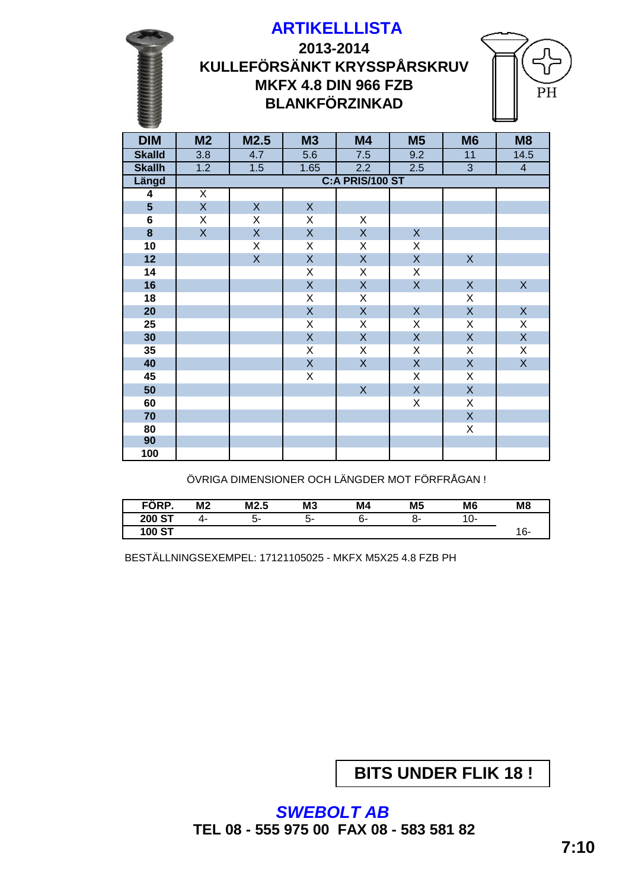**KULLEFÖRSÄNKT KRYSSPÅRSKRUV 2013-2014 ARTIKELLLISTA MKFX 4.8 DIN 966 FZB BLANKFÖRZINKAD**



| <b>DIM</b>              | M <sub>2</sub>          | M2.5           | <b>M3</b>               | M4              | <b>M5</b>               | M <sub>6</sub> | M <sub>8</sub>          |  |  |  |
|-------------------------|-------------------------|----------------|-------------------------|-----------------|-------------------------|----------------|-------------------------|--|--|--|
| <b>Skalld</b>           | $\overline{3.8}$        | 4.7            | 5.6                     | 7.5             | 9.2                     | 11             | 14.5                    |  |  |  |
| <b>Skallh</b>           | 1.2                     | 1.5            | 1.65                    | 2.2             | 2.5                     | $\overline{3}$ | $\overline{4}$          |  |  |  |
| Längd                   |                         |                |                         | C:A PRIS/100 ST |                         |                |                         |  |  |  |
| $\overline{\mathbf{4}}$ | $\overline{X}$          |                |                         |                 |                         |                |                         |  |  |  |
| $5\phantom{a}$          | $\overline{\mathsf{X}}$ | $\mathsf{X}$   | $\mathsf{X}$            |                 |                         |                |                         |  |  |  |
| 6                       | X                       | X              | X                       | X               |                         |                |                         |  |  |  |
| $\bf{8}$                | $\overline{X}$          | $\overline{X}$ | $\overline{\mathsf{X}}$ | $\mathsf X$     | $\mathsf{X}$            |                |                         |  |  |  |
| 10                      |                         | X              | X                       | X               | X                       |                |                         |  |  |  |
| 12                      |                         | $\overline{X}$ | $\overline{\mathsf{X}}$ | $\mathsf X$     | $\overline{\mathsf{X}}$ | $\mathsf X$    |                         |  |  |  |
| 14                      |                         |                | X                       | $\mathsf X$     | X                       |                |                         |  |  |  |
| 16                      |                         |                | $\overline{\mathsf{X}}$ | $\mathsf X$     | $\overline{X}$          | $\mathsf X$    | $\mathsf X$             |  |  |  |
| 18                      |                         |                | X                       | $\mathsf X$     |                         | X              |                         |  |  |  |
| 20                      |                         |                | $\mathsf{X}% _{0}$      | $\mathsf X$     | $\mathsf{X}% _{0}$      | $\mathsf{X}$   | $\mathsf X$             |  |  |  |
| 25                      |                         |                | X                       | $\mathsf X$     | X                       | X              | $\mathsf X$             |  |  |  |
| 30                      |                         |                | $\overline{X}$          | $\mathsf X$     | $\overline{X}$          | $\mathsf{X}$   | $\overline{\mathsf{X}}$ |  |  |  |
| 35                      |                         |                | X                       | $\mathsf X$     | X                       | X              | $\mathsf X$             |  |  |  |
| 40                      |                         |                | $\mathsf X$             | $\mathsf X$     | $\mathsf{X}$            | $\mathsf{X}$   | $\overline{X}$          |  |  |  |
| 45                      |                         |                | X                       |                 | X                       | X              |                         |  |  |  |
| 50                      |                         |                |                         | $\mathsf{X}$    | $\mathsf{X}$            | $\mathsf{X}$   |                         |  |  |  |
| 60                      |                         |                |                         |                 | X                       | X              |                         |  |  |  |
| 70                      |                         |                |                         |                 |                         | $\mathsf{X}$   |                         |  |  |  |
| 80                      |                         |                |                         |                 |                         | Χ              |                         |  |  |  |
| 90                      |                         |                |                         |                 |                         |                |                         |  |  |  |
| 100                     |                         |                |                         |                 |                         |                |                         |  |  |  |

ÖVRIGA DIMENSIONER OCH LÄNGDER MOT FÖRFRÅGAN !

| FÖRP.         | M <sub>2</sub> | M2.5 | M <sub>3</sub> | M4 | M <sub>5</sub> | M <sub>6</sub> | M <sub>8</sub> |
|---------------|----------------|------|----------------|----|----------------|----------------|----------------|
| <b>200 ST</b> | 4-             | ာ-   | .ა             | ხ- | ∩-             | U-             |                |
| 100 ST        |                |      |                |    |                |                |                |

BESTÄLLNINGSEXEMPEL: 17121105025 - MKFX M5X25 4.8 FZB PH

**BITS UNDER FLIK 18 !**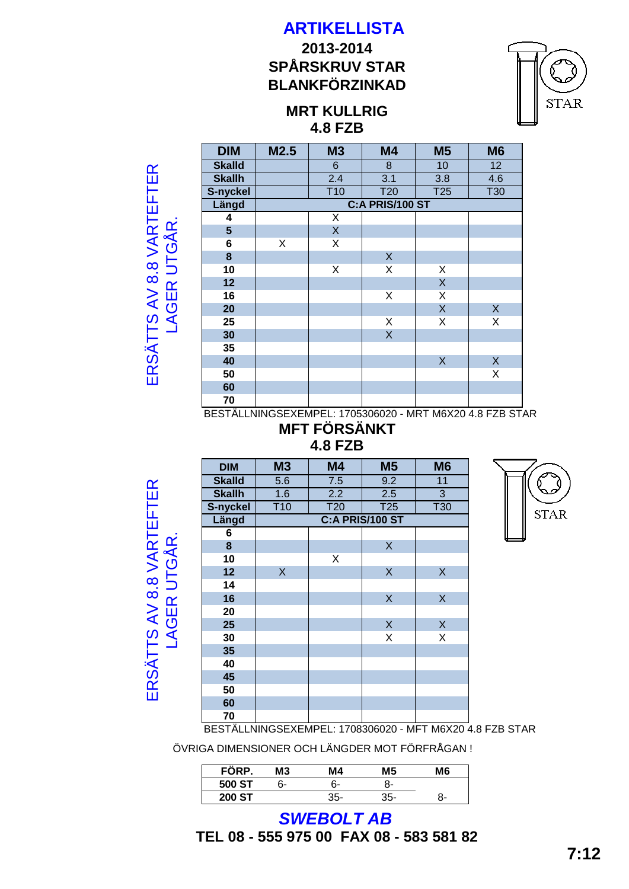# **SPÅRSKRUV STAR 2013-2014 BLANKFÖRZINKAD**



**STAR** 

ERSÄTTS AV 8.8 VARTEFTER ERSÄTTS AV 8.8 VARTEFTER LAGER UTGÅR. LAGER UTGÅR

| <b>DIM</b>     | M2.5            | M <sub>3</sub> | M4         | M <sub>5</sub>  | M <sub>6</sub> |  |  |  |  |  |
|----------------|-----------------|----------------|------------|-----------------|----------------|--|--|--|--|--|
| <b>Skalld</b>  |                 | 6              | 8          | 10              | 12             |  |  |  |  |  |
| <b>Skallh</b>  |                 | 2.4            | 3.1        | 3.8             | 4.6            |  |  |  |  |  |
| S-nyckel       |                 | T10            | <b>T20</b> | T <sub>25</sub> | <b>T30</b>     |  |  |  |  |  |
| Längd          | C:A PRIS/100 ST |                |            |                 |                |  |  |  |  |  |
| 4              |                 | X              |            |                 |                |  |  |  |  |  |
| $5\phantom{1}$ |                 | $\mathsf{X}$   |            |                 |                |  |  |  |  |  |
| 6              | X               | X              |            |                 |                |  |  |  |  |  |
| 8              |                 |                | X          |                 |                |  |  |  |  |  |
| 10             |                 | X              | Χ          | Χ               |                |  |  |  |  |  |
| 12             |                 |                |            | $\mathsf{X}$    |                |  |  |  |  |  |
| 16             |                 |                | Χ          | Χ               |                |  |  |  |  |  |
| 20             |                 |                |            | X               | X              |  |  |  |  |  |
| 25             |                 |                | Χ          | Χ               | X              |  |  |  |  |  |
| 30             |                 |                | $\sf X$    |                 |                |  |  |  |  |  |
| 35             |                 |                |            |                 |                |  |  |  |  |  |
| 40             |                 |                |            | X               | X              |  |  |  |  |  |
| 50             |                 |                |            |                 | Χ              |  |  |  |  |  |
| 60             |                 |                |            |                 |                |  |  |  |  |  |
| 70             |                 |                |            |                 |                |  |  |  |  |  |

BESTÄLLNINGSEXEMPEL: 1705306020 - MRT M6X20 4.8 FZB STAR **MFT FÖRSÄNKT**

#### **4.8 FZB**

ERSÄTTS AV 8.8 VARTEFTER ERSÄTTS AV 8.8 VARTEFTER LAGER UTGÅR. **LAGER UTGÅR** 

| <b>DIM</b>    | <b>M3</b>    | M4         | M <sub>5</sub>  | M <sub>6</sub> |
|---------------|--------------|------------|-----------------|----------------|
| <b>Skalld</b> | 5.6          | 7.5        | 9.2             | 11             |
| <b>Skallh</b> | 1.6          | 2.2        | 2.5             | 3              |
| S-nyckel      | <b>T10</b>   | <b>T20</b> | T <sub>25</sub> | <b>T30</b>     |
| Längd         |              |            | C:A PRIS/100 ST |                |
| 6             |              |            |                 |                |
| 8             |              |            | X               |                |
| 10            |              | X          |                 |                |
| 12            | $\mathsf{X}$ |            | $\sf X$         | $\sf X$        |
| 14            |              |            |                 |                |
| 16            |              |            | X               | $\sf X$        |
| 20            |              |            |                 |                |
| 25            |              |            | $\mathsf X$     | $\sf X$        |
| 30            |              |            | X               | Χ              |
| 35            |              |            |                 |                |
| 40            |              |            |                 |                |
| 45            |              |            |                 |                |
| 50            |              |            |                 |                |
| 60            |              |            |                 |                |
| 70            |              |            |                 |                |



BESTÄLLNINGSEXEMPEL: 1708306020 - MFT M6X20 4.8 FZB STAR

ÖVRIGA DIMENSIONER OCH LÄNGDER MOT FÖRFRÅGAN !

| <br>FORP.     | MЗ | M4  | М5    | M6 |
|---------------|----|-----|-------|----|
| 500 ST        | հ- | հ-  | -ר    |    |
| <b>200 ST</b> |    | 35- | $35-$ | o- |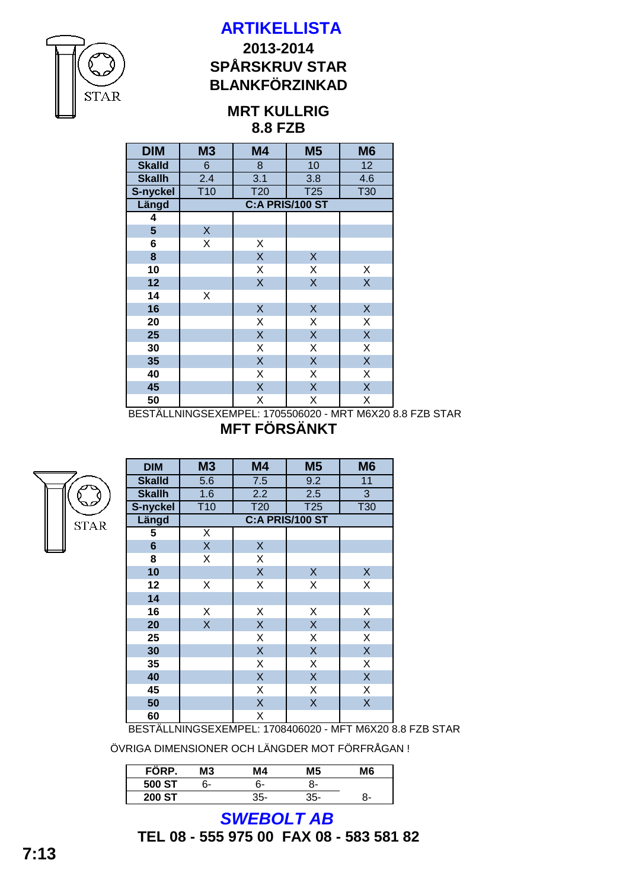

## **BLANKFÖRZINKAD SPÅRSKRUV STAR 2013-2014**

#### **8.8 FZB MRT KULLRIG**

| <b>DIM</b>      | M <sub>3</sub>   | M4                      | M <sub>5</sub>  | M <sub>6</sub>          |  |  |  |  |  |  |  |  |
|-----------------|------------------|-------------------------|-----------------|-------------------------|--|--|--|--|--|--|--|--|
| <b>Skalld</b>   | 6                | 8                       | 10              | 12                      |  |  |  |  |  |  |  |  |
| <b>Skallh</b>   | 2.4              | $\overline{3.1}$        | 3.8             | 4.6                     |  |  |  |  |  |  |  |  |
| S-nyckel        | $\overline{110}$ | T <sub>20</sub>         | T <sub>25</sub> | T30                     |  |  |  |  |  |  |  |  |
| Längd           |                  | C:A PRIS/100 ST         |                 |                         |  |  |  |  |  |  |  |  |
| 4               |                  |                         |                 |                         |  |  |  |  |  |  |  |  |
| $5\phantom{.0}$ | X                |                         |                 |                         |  |  |  |  |  |  |  |  |
| 6               | X                | Χ                       |                 |                         |  |  |  |  |  |  |  |  |
| 8               |                  | $\sf X$                 | Χ               |                         |  |  |  |  |  |  |  |  |
| 10              |                  | $\mathsf X$             | Χ               | X                       |  |  |  |  |  |  |  |  |
| 12              |                  | $\overline{\mathsf{X}}$ | $\sf X$         | $\overline{\mathsf{X}}$ |  |  |  |  |  |  |  |  |
| 14              | Χ                |                         |                 |                         |  |  |  |  |  |  |  |  |
| 16              |                  | $\sf X$                 | $\mathsf X$     | $\sf X$                 |  |  |  |  |  |  |  |  |
| 20              |                  | X                       | Χ               | X                       |  |  |  |  |  |  |  |  |
| 25              |                  | $\sf X$                 | $\mathsf X$     | $\sf X$                 |  |  |  |  |  |  |  |  |
| 30              |                  | Χ                       | X               | Χ                       |  |  |  |  |  |  |  |  |
| 35              |                  | $\sf X$                 | X               | $\sf X$                 |  |  |  |  |  |  |  |  |
| 40              |                  | Χ                       | Χ               | Χ                       |  |  |  |  |  |  |  |  |
| 45              |                  | $\sf X$                 | X               | X                       |  |  |  |  |  |  |  |  |
| 50              |                  | X                       | X               | Χ                       |  |  |  |  |  |  |  |  |

BESTÄLLNINGSEXEMPEL: 1705506020 - MRT M6X20 8.8 FZB STAR **MFT FÖRSÄNKT**

**STAR** 

| <b>DIM</b>     | M3                 | M4                               | M <sub>5</sub> | M6         |  |  |  |  |  |  |  |
|----------------|--------------------|----------------------------------|----------------|------------|--|--|--|--|--|--|--|
| <b>Skalld</b>  | 5.6                | 7.5                              | 9.2            | 11         |  |  |  |  |  |  |  |
| <b>Skallh</b>  | 1.6                | 2.2                              | 2.5            | 3          |  |  |  |  |  |  |  |
| S-nyckel       | T <sub>10</sub>    | T <sub>20</sub>                  | T25            | <b>T30</b> |  |  |  |  |  |  |  |
| Längd          | C:A PRIS/100 ST    |                                  |                |            |  |  |  |  |  |  |  |
| 5              | Χ                  |                                  |                |            |  |  |  |  |  |  |  |
| $6\phantom{1}$ | $\mathsf{X}% _{0}$ | $\mathsf X$                      |                |            |  |  |  |  |  |  |  |
| 8              | Χ                  | Χ                                |                |            |  |  |  |  |  |  |  |
| 10             |                    | $\sf X$                          | X              | X          |  |  |  |  |  |  |  |
| 12             | Χ                  | X                                | X              | Χ          |  |  |  |  |  |  |  |
| 14             |                    |                                  |                |            |  |  |  |  |  |  |  |
| 16             | Χ                  | Χ                                | Χ              | Χ          |  |  |  |  |  |  |  |
| 20             | X                  | $\sf X$                          | $\mathsf X$    | X          |  |  |  |  |  |  |  |
| 25             |                    | Χ                                | Χ              | Χ          |  |  |  |  |  |  |  |
| 30             |                    | $\sf X$                          | X              | X          |  |  |  |  |  |  |  |
| 35             |                    | X                                | Χ              | Χ          |  |  |  |  |  |  |  |
| 40             |                    | $\sf X$                          | X              | X          |  |  |  |  |  |  |  |
| 45             |                    | X                                | Χ              | X          |  |  |  |  |  |  |  |
| 50             |                    | $\overline{\mathsf{X}}$          | X              | X          |  |  |  |  |  |  |  |
| 60             |                    | Χ                                |                |            |  |  |  |  |  |  |  |
|                |                    | DECTÄLLNINGCEVEMDEL · 1709/06020 |                | MET MCVOO  |  |  |  |  |  |  |  |

BESTÄLLNINGSEXEMPEL: 1708406020 - MFT M6X20 8.8 FZB STAR

ÖVRIGA DIMENSIONER OCH LÄNGDER MOT FÖRFRÅGAN !

| FÖRP.         | MЗ | М4    | M5  | M6 |
|---------------|----|-------|-----|----|
| 500 ST        | n- | հ-    | 7-  |    |
| <b>200 ST</b> |    | $35-$ | 35- | 7- |

**TEL 08 - 555 975 00 FAX 08 - 583 581 82** *SWEBOLT AB*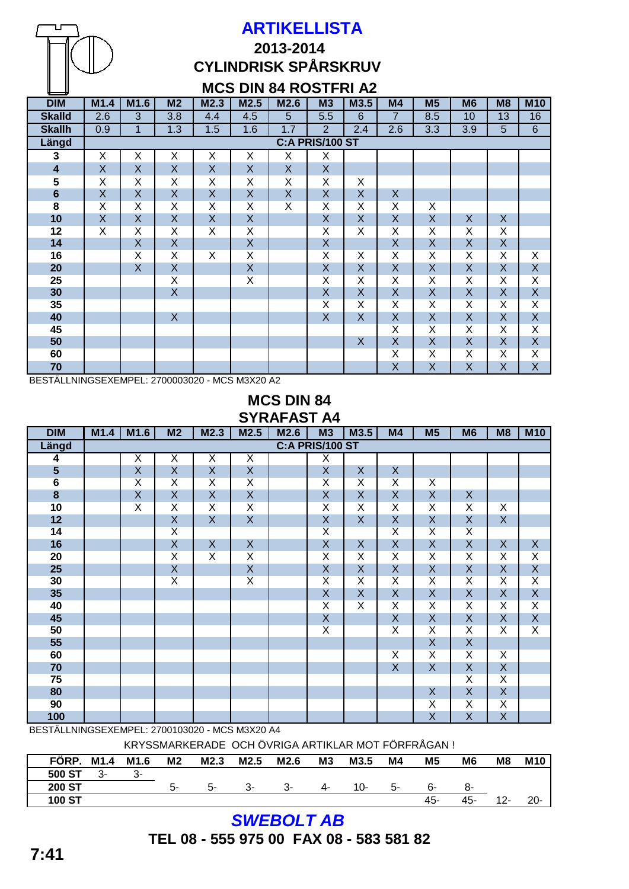

# **2013-2014 CYLINDRISK SPÅRSKRUV**

## **MCS DIN 84 ROSTFRI A2**

| <b>DIM</b>              | M1.4                    | M1.6                    | M <sub>2</sub>          | M2.3               | M2.5                    | M2.6         | M3                      | M3.5                    | M <sub>4</sub>   | M <sub>5</sub>          | M <sub>6</sub>          | M <sub>8</sub>          | <b>M10</b>              |
|-------------------------|-------------------------|-------------------------|-------------------------|--------------------|-------------------------|--------------|-------------------------|-------------------------|------------------|-------------------------|-------------------------|-------------------------|-------------------------|
| <b>Skalld</b>           | 2.6                     | 3                       | 3.8                     | 4.4                | 4.5                     | 5            | 5.5                     | $6\phantom{1}6$         | $\overline{7}$   | 8.5                     | 10                      | 13                      | 16                      |
| <b>Skallh</b>           | 0.9                     | 1                       | 1.3                     | 1.5                | 1.6                     | 1.7          | $\overline{2}$          | 2.4                     | 2.6              | 3.3                     | 3.9                     | $\overline{5}$          | $\,6$                   |
| Längd                   |                         | C:A PRIS/100 ST         |                         |                    |                         |              |                         |                         |                  |                         |                         |                         |                         |
| 3                       | X                       | X                       | X                       | X                  | X                       | X            | X                       |                         |                  |                         |                         |                         |                         |
| $\overline{\mathbf{4}}$ | $\boldsymbol{X}$        | X                       | $\mathsf{X}$            | X                  | $\mathsf X$             | $\mathsf{X}$ | X                       |                         |                  |                         |                         |                         |                         |
| 5                       | X                       | Χ                       | X                       | X                  | Χ                       | X            | X                       | Χ                       |                  |                         |                         |                         |                         |
| $6\phantom{1}$          | $\pmb{\times}$          | X                       | $\mathsf{X}$            | X                  | $\sf X$                 | $\mathsf{X}$ | $\mathsf X$             | $\sf X$                 | $\boldsymbol{X}$ |                         |                         |                         |                         |
| $\overline{\mathbf{8}}$ | X                       | Χ                       | X                       | Χ                  | Χ                       | X            | Χ                       | Χ                       | X                | X                       |                         |                         |                         |
| 10                      | $\overline{\mathsf{X}}$ | $\overline{\mathsf{X}}$ | $\overline{\mathsf{X}}$ | $\pmb{\mathsf{X}}$ | $\overline{\mathsf{X}}$ |              | $\pmb{\mathsf{X}}$      | $\overline{\mathsf{X}}$ | $\pmb{\times}$   | $\overline{\mathsf{X}}$ | $\mathsf{X}$            | $\mathsf X$             |                         |
| 12                      | X                       | Χ                       | X                       | X                  | $\overline{\mathsf{X}}$ |              | $\overline{\mathsf{X}}$ | $\overline{\mathsf{x}}$ | Χ                | X                       | X                       | X                       |                         |
| 14                      |                         | X                       | X                       |                    | $\sf X$                 |              | $\mathsf X$             |                         | X                | X                       | X                       | $\sf X$                 |                         |
| 16                      |                         | $\overline{\mathsf{x}}$ | $\overline{X}$          | X                  | $\overline{\mathsf{X}}$ |              | $\overline{\mathsf{X}}$ | $\overline{\mathsf{x}}$ | X                | $\overline{\mathsf{X}}$ | $\overline{\mathsf{x}}$ | $\overline{\mathsf{X}}$ | X                       |
| 20                      |                         | X                       | X                       |                    | $\mathsf X$             |              | $\mathsf X$             | X                       | X                | $\mathsf X$             | $\mathsf{X}$            | $\mathsf X$             | $\sf X$                 |
| 25                      |                         |                         | X                       |                    | X                       |              | Χ                       | Χ                       | X                | X                       | X                       | X                       | X                       |
| 30                      |                         |                         | $\overline{X}$          |                    |                         |              | $\mathsf X$             | $\overline{\mathsf{X}}$ | $\mathsf{X}$     | $\mathsf X$             | $\mathsf{X}$            | $\mathsf X$             | $\overline{\mathsf{X}}$ |
| 35                      |                         |                         |                         |                    |                         |              | X                       | X                       | X                | X                       | X                       | X                       | $\overline{\mathsf{X}}$ |
| 40                      |                         |                         | X                       |                    |                         |              | $\mathsf X$             | X                       | X                | $\sf X$                 | $\mathsf{X}$            | $\mathsf X$             | $\mathsf{X}$            |
| 45                      |                         |                         |                         |                    |                         |              |                         |                         | X                | X                       | X                       | X                       | $\overline{\mathsf{X}}$ |
| 50                      |                         |                         |                         |                    |                         |              |                         | X                       | $\pmb{\times}$   | $\sf X$                 | $\overline{X}$          | $\overline{X}$          | $\overline{\mathsf{X}}$ |
| 60                      |                         |                         |                         |                    |                         |              |                         |                         | Χ                | X                       | X                       | X                       | $\overline{\mathsf{x}}$ |
| 70                      |                         |                         |                         |                    |                         |              |                         |                         | X                | $\sf X$                 | X                       | $\sf X$                 | X                       |

BESTÄLLNINGSEXEMPEL: 2700003020 - MCS M3X20 A2

#### **MCS DIN 84 SYRAFAST A4**

| <b>DIM</b>      | M1.4 | M1.6                    | M <sub>2</sub>          | M2.3                    | M2.5                    | M2.6 | M3                      | M3.5                    | M4                      | M <sub>5</sub>          | M <sub>6</sub>          | M <sub>8</sub>          | <b>M10</b>              |
|-----------------|------|-------------------------|-------------------------|-------------------------|-------------------------|------|-------------------------|-------------------------|-------------------------|-------------------------|-------------------------|-------------------------|-------------------------|
| Längd           |      |                         |                         |                         |                         |      | <b>C:A PRIS/100 ST</b>  |                         |                         |                         |                         |                         |                         |
| 4               |      | X                       | $\overline{\mathsf{X}}$ | X                       | $\overline{\mathsf{X}}$ |      | $\overline{\mathsf{x}}$ |                         |                         |                         |                         |                         |                         |
| 5               |      | $\sf X$                 | $\overline{X}$          | X                       | $\pmb{\mathsf{X}}$      |      | $\mathsf X$             | $\mathsf{X}$            | $\pmb{\times}$          |                         |                         |                         |                         |
| $6\overline{6}$ |      | X                       | $\overline{\mathsf{x}}$ | X                       | $\overline{\mathsf{X}}$ |      | $\overline{\mathsf{X}}$ | $\overline{\mathsf{X}}$ | X                       | X                       |                         |                         |                         |
| $\pmb{8}$       |      | $\mathsf X$             | $\mathsf{X}$            | X                       | $\mathsf X$             |      | $\mathsf X$             | $\sf X$                 | $\mathsf X$             | $\mathsf X$             | X                       |                         |                         |
| 10              |      | $\overline{\mathsf{x}}$ | $\overline{X}$          | Χ                       | $\overline{\mathsf{X}}$ |      | $\overline{\mathsf{x}}$ | $\overline{\mathsf{X}}$ | $\overline{\mathsf{X}}$ | Χ                       | $\overline{\mathsf{X}}$ | X                       |                         |
| 12              |      |                         | $\mathsf{X}$            | X                       | $\mathsf X$             |      | $\mathsf X$             | X                       | X                       | X                       | $\mathsf{X}$            | $\mathsf X$             |                         |
| 14              |      |                         | $\overline{\mathsf{X}}$ |                         |                         |      | $\overline{\mathsf{x}}$ |                         | $\overline{\mathsf{x}}$ | Χ                       | $\overline{\mathsf{X}}$ |                         |                         |
| 16              |      |                         | $\mathsf{X}$            | X                       | $\mathsf X$             |      | X                       | $\sf X$                 | X                       | $\mathsf X$             | $\mathsf{X}$            | $\mathsf X$             | $\mathsf X$             |
| 20              |      |                         | $\overline{\mathsf{X}}$ | $\overline{\mathsf{X}}$ | $\overline{\mathsf{x}}$ |      | $\overline{\mathsf{x}}$ | $\overline{\mathsf{x}}$ | Χ                       | Χ                       | $\overline{\mathsf{X}}$ | Χ                       | X                       |
| 25              |      |                         | $\mathsf X$             |                         | $\sf X$                 |      | $\mathsf X$             | $\sf X$                 | $\mathsf X$             | $\mathsf X$             | X                       | $\mathsf X$             | $\mathsf X$             |
| 30              |      |                         | $\overline{\mathsf{x}}$ |                         | $\overline{\mathsf{x}}$ |      | $\overline{\mathsf{x}}$ | $\overline{\mathsf{x}}$ | Χ                       | $\overline{\mathsf{X}}$ | $\overline{\mathsf{X}}$ | Χ                       | $\overline{X}$          |
| 35              |      |                         |                         |                         |                         |      | $\mathsf X$             | $\overline{\mathsf{X}}$ | $\mathsf X$             | $\mathsf X$             | $\overline{\mathsf{X}}$ | $\mathsf X$             | $\mathsf X$             |
| 40              |      |                         |                         |                         |                         |      | $\overline{\mathsf{x}}$ | $\overline{\mathsf{x}}$ | $\overline{\mathsf{X}}$ | $\overline{\mathsf{X}}$ | $\overline{\mathsf{X}}$ | $\overline{\mathsf{X}}$ | $\overline{X}$          |
| 45              |      |                         |                         |                         |                         |      | $\mathsf X$             |                         | $\pmb{\mathsf{X}}$      | $\mathsf X$             | $\overline{\mathsf{X}}$ | $\mathsf X$             | $\pmb{\mathsf{X}}$      |
| 50              |      |                         |                         |                         |                         |      | $\overline{\mathsf{X}}$ |                         | $\overline{\mathsf{X}}$ | $\overline{\mathsf{X}}$ | $\overline{\mathsf{X}}$ | $\overline{\mathsf{X}}$ | $\overline{\mathsf{X}}$ |
| 55              |      |                         |                         |                         |                         |      |                         |                         |                         | $\overline{\mathsf{X}}$ | $\overline{\mathsf{X}}$ |                         |                         |
| 60              |      |                         |                         |                         |                         |      |                         |                         | $\overline{\mathsf{X}}$ | $\overline{\mathsf{X}}$ | $\overline{\mathsf{X}}$ | $\overline{\mathsf{x}}$ |                         |
| 70              |      |                         |                         |                         |                         |      |                         |                         | $\overline{X}$          | $\overline{X}$          | $\overline{\mathsf{X}}$ | $\mathsf X$             |                         |
| 75              |      |                         |                         |                         |                         |      |                         |                         |                         |                         | $\overline{\mathsf{x}}$ | $\overline{\mathsf{X}}$ |                         |
| 80              |      |                         |                         |                         |                         |      |                         |                         |                         | $\mathsf X$             | $\mathsf{X}$            | $\mathsf{X}$            |                         |
| 90              |      |                         |                         |                         |                         |      |                         |                         |                         | Χ                       | Χ                       | Χ                       |                         |
| 100             |      |                         |                         |                         |                         |      |                         |                         |                         | X                       | X                       | $\mathsf X$             |                         |

BESTÄLLNINGSEXEMPEL: 2700103020 - MCS M3X20 A4

KRYSSMARKERADE OCH ÖVRIGA ARTIKLAR MOT FÖRFRÅGAN !

| FÖRP.         | M1.4 | M1.6 | M <sub>2</sub> | M2.3 | M2.5 | M2.6 | M <sub>3</sub> | M3.5 | M4 | M <sub>5</sub> | M <sub>6</sub> | M <sub>8</sub> | <b>M10</b> |
|---------------|------|------|----------------|------|------|------|----------------|------|----|----------------|----------------|----------------|------------|
| 500 ST        | 3-   | 3-   |                |      |      |      |                |      |    |                |                |                |            |
| <b>200 ST</b> |      |      | . ს            | 5-   | 3-   | 3-   | 4-             | 10-  | .ა | 6-             | o-             |                |            |
| <b>100 ST</b> |      |      |                |      |      |      |                |      |    | 45-            | 45-            | $12 -$         | $20 -$     |

*SWEBOLT AB*

**TEL 08 - 555 975 00 FAX 08 - 583 581 82**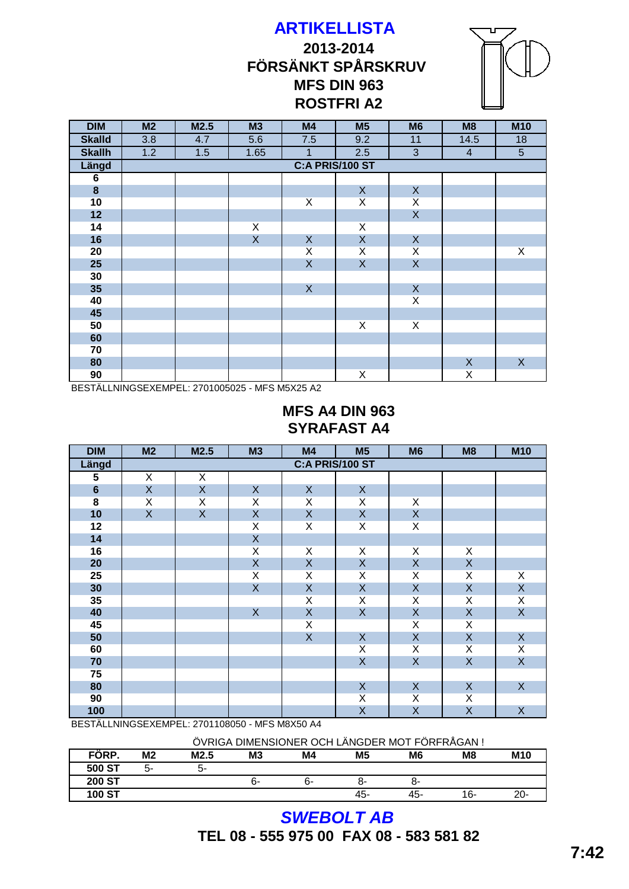# **ARTIKELLISTA 2013-2014 FÖRSÄNKT SPÅRSKRUV MFS DIN 963 ROSTFRI A2**



| <b>DIM</b>     | M2  | M2.5 | M3           | M4                        | M <sub>5</sub>          | M <sub>6</sub>            | M8                      | <b>M10</b>                |
|----------------|-----|------|--------------|---------------------------|-------------------------|---------------------------|-------------------------|---------------------------|
| <b>Skalld</b>  | 3.8 | 4.7  | 5.6          | 7.5                       | 9.2                     | 11                        | 14.5                    | 18                        |
| <b>Skallh</b>  | 1.2 | 1.5  | 1.65         | $\mathbf{1}$              | 2.5                     | 3                         | $\overline{4}$          | $5\phantom{.0}$           |
| Längd          |     |      |              | <b>C:A PRIS/100 ST</b>    |                         |                           |                         |                           |
| $\overline{6}$ |     |      |              |                           |                         |                           |                         |                           |
| $\bf{8}$       |     |      |              |                           | $\mathsf{X}$            | $\boldsymbol{\mathsf{X}}$ |                         |                           |
| 10             |     |      |              | X                         | X                       | X                         |                         |                           |
| 12             |     |      |              |                           |                         | $\mathsf X$               |                         |                           |
| 14             |     |      | X            |                           | X                       |                           |                         |                           |
| 16             |     |      | $\mathsf{X}$ | $\boldsymbol{\mathsf{X}}$ | $\mathsf X$             | $\boldsymbol{\mathsf{X}}$ |                         |                           |
| 20             |     |      |              | $\overline{\mathsf{x}}$   | Χ                       | $\overline{\mathsf{X}}$   |                         | $\overline{X}$            |
| 25             |     |      |              | $\overline{X}$            | $\overline{X}$          | $\mathsf X$               |                         |                           |
| 30             |     |      |              |                           |                         |                           |                         |                           |
| 35             |     |      |              | $\mathsf{X}$              |                         | $\boldsymbol{\mathsf{X}}$ |                         |                           |
| 40             |     |      |              |                           |                         | $\overline{X}$            |                         |                           |
| 45             |     |      |              |                           |                         |                           |                         |                           |
| 50             |     |      |              |                           | $\overline{\mathsf{X}}$ | $\overline{\mathsf{X}}$   |                         |                           |
| 60             |     |      |              |                           |                         |                           |                         |                           |
| 70             |     |      |              |                           |                         |                           |                         |                           |
| 80             |     |      |              |                           |                         |                           | $\mathsf X$             | $\boldsymbol{\mathsf{X}}$ |
| 90             |     |      |              |                           | $\overline{\mathsf{X}}$ |                           | $\overline{\mathsf{x}}$ |                           |

BESTÄLLNINGSEXEMPEL: 2701005025 - MFS M5X25 A2

#### **MFS A4 DIN 963 SYRAFAST A4**

| <b>DIM</b>              | M2                      | M2.5                    | <b>M3</b>      | M4                        | M <sub>5</sub>            | M <sub>6</sub>            | M8                      | <b>M10</b>                |
|-------------------------|-------------------------|-------------------------|----------------|---------------------------|---------------------------|---------------------------|-------------------------|---------------------------|
| Längd                   |                         |                         |                | <b>C:A PRIS/100 ST</b>    |                           |                           |                         |                           |
| $\overline{\mathbf{5}}$ | X                       | X                       |                |                           |                           |                           |                         |                           |
| $\bf 6$                 | $\mathsf{X}$            | $\mathsf{X}$            | $\mathsf{X}$   | $\mathsf{X}$              | $\mathsf{X}$              |                           |                         |                           |
| $\overline{\mathbf{8}}$ | X                       | X                       | X              | X                         | X                         | X                         |                         |                           |
| 10                      | $\overline{\mathsf{X}}$ | $\overline{\mathsf{X}}$ | $\overline{X}$ | $\overline{X}$            | $\mathsf X$               | $\boldsymbol{\mathsf{X}}$ |                         |                           |
| 12                      |                         |                         | X              | X                         | $\overline{X}$            | $\overline{X}$            |                         |                           |
| 14                      |                         |                         | $\mathsf{X}$   |                           |                           |                           |                         |                           |
| 16                      |                         |                         | X              | X                         | X                         | X                         | X                       |                           |
| 20                      |                         |                         | $\mathsf{X}$   | $\mathsf{X}$              | $\mathsf{X}$              | $\mathsf{X}$              | $\mathsf{X}$            |                           |
| 25                      |                         |                         | X              | X                         | X                         | X                         | X                       | X                         |
| 30                      |                         |                         | $\overline{X}$ | $\overline{X}$            | $\mathsf X$               | $\mathsf X$               | $\overline{X}$          | $\overline{X}$            |
| 35                      |                         |                         |                | $\overline{\mathsf{x}}$   | $\overline{\mathsf{X}}$   | $\overline{X}$            | $\overline{X}$          | $\overline{X}$            |
| 40                      |                         |                         | $\mathsf{X}$   | $\boldsymbol{\mathsf{X}}$ | $\mathsf X$               | $\mathsf{X}$              | $\mathsf{X}$            | $\mathsf{X}$              |
| 45                      |                         |                         |                | $\overline{X}$            |                           | $\overline{\mathsf{x}}$   | $\overline{X}$          |                           |
| 50                      |                         |                         |                | $\mathsf{X}$              | $\boldsymbol{\mathsf{X}}$ | $\mathsf X$               | $\mathsf{X}$            | $\boldsymbol{\mathsf{X}}$ |
| 60                      |                         |                         |                |                           | $\overline{\mathsf{X}}$   | $\overline{\mathsf{x}}$   | $\overline{\mathsf{x}}$ | $\overline{\mathsf{x}}$   |
| 70                      |                         |                         |                |                           | $\overline{X}$            | $\overline{X}$            | $\mathsf X$             | $\overline{X}$            |
| 75                      |                         |                         |                |                           |                           |                           |                         |                           |
| 80                      |                         |                         |                |                           | $\boldsymbol{\mathsf{X}}$ | $\mathsf{X}$              | $\mathsf{X}$            | $\mathsf{X}$              |
| 90                      |                         |                         |                |                           | Χ                         | X                         | X                       |                           |
| 100                     |                         |                         |                |                           | $\overline{\mathsf{X}}$   | X                         | $\overline{X}$          | $\sf X$                   |

BESTÄLLNINGSEXEMPEL: 2701108050 - MFS M8X50 A4

| ÖVRIGA DIMENSIONER OCH LÄNGDER MOT FÖRFRÅGAN! |    |      |                |    |                |                |     |                 |  |  |  |
|-----------------------------------------------|----|------|----------------|----|----------------|----------------|-----|-----------------|--|--|--|
| FORP.                                         | М2 | M2.5 | M <sub>3</sub> | M4 | M <sub>5</sub> | M <sub>6</sub> | M8  | M <sub>10</sub> |  |  |  |
| 500 ST                                        | 5- | 5-   |                |    |                |                |     |                 |  |  |  |
| <b>200 ST</b>                                 |    |      | რ-             | 6- | ୪-             | 8-             |     |                 |  |  |  |
| <b>100 ST</b>                                 |    |      |                |    | 45-            | 45-            | 16- | $20 -$          |  |  |  |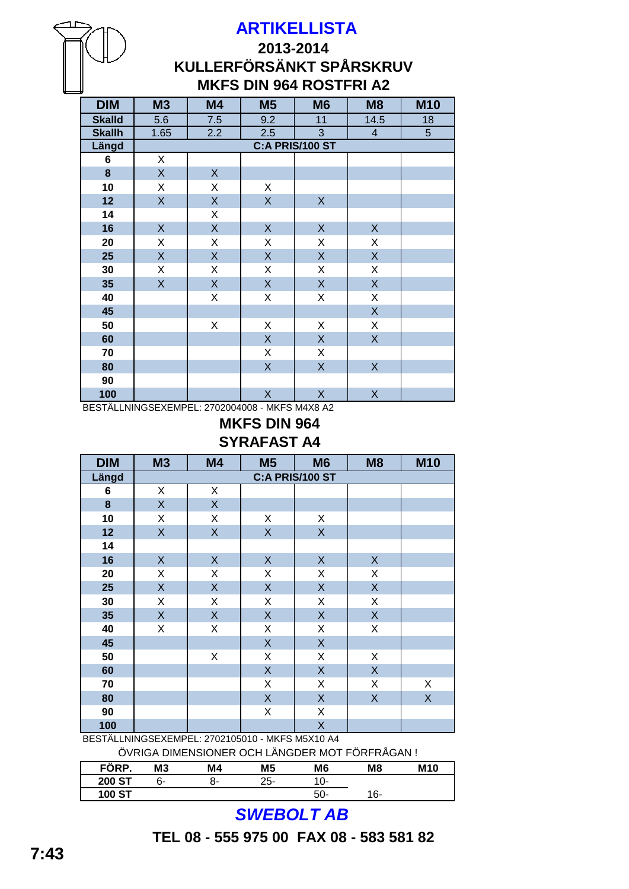## **2013-2014 KULLERFÖRSÄNKT SPÅRSKRUV MKFS DIN 964 ROSTFRI A2**

| <b>DIM</b>    | <b>M3</b>          | M4               | M <sub>5</sub> | M <sub>6</sub>          | M <sub>8</sub>          | <b>M10</b>     |
|---------------|--------------------|------------------|----------------|-------------------------|-------------------------|----------------|
| <b>Skalld</b> | $\overline{5.6}$   | 7.5              | 9.2            | 11                      | 14.5                    | 18             |
| <b>Skallh</b> | 1.65               | $\overline{2.2}$ | 2.5            | $\overline{3}$          | $\overline{4}$          | $\overline{5}$ |
| Längd         |                    |                  |                | C:A PRIS/100 ST         |                         |                |
| 6             | X                  |                  |                |                         |                         |                |
| 8             | $\mathsf{X}% _{0}$ | $\mathsf X$      |                |                         |                         |                |
| 10            | X                  | X                | X              |                         |                         |                |
| 12            | $\overline{X}$     | $\overline{X}$   | $\mathsf{X}$   | $\mathsf{X}$            |                         |                |
| 14            |                    | X                |                |                         |                         |                |
| 16            | $\mathsf{X}$       | X                | $\mathsf X$    | $\mathsf X$             | $\mathsf{X}$            |                |
| 20            | Χ                  | Χ                | X              | X                       | X                       |                |
| 25            | $\mathsf{X}$       | $\mathsf X$      | $\mathsf{X}$   | $\mathsf X$             | $\mathsf{X}$            |                |
| 30            | X                  | Χ                | X              | X                       | X                       |                |
| 35            | $\mathsf{X}$       | $\overline{X}$   | $\mathsf{X}$   | $\overline{\mathsf{X}}$ | $\overline{X}$          |                |
| 40            |                    | Χ                | Χ              | X                       | X                       |                |
| 45            |                    |                  |                |                         | $\mathsf{X}% _{0}$      |                |
| 50            |                    | Χ                | Χ              | X                       | X                       |                |
| 60            |                    |                  | $\mathsf{X}$   | $\mathsf{X}$            | $\mathsf{X}$            |                |
| 70            |                    |                  | X              | X                       |                         |                |
| 80            |                    |                  | $\mathsf{X}$   | $\mathsf X$             | $\mathsf X$             |                |
| 90            |                    |                  |                |                         |                         |                |
| 100           |                    |                  | X              | X                       | $\overline{\mathsf{X}}$ |                |

BESTÄLLNINGSEXEMPEL: 2702004008 - MKFS M4X8 A2

#### **SYRAFAST A4 MKFS DIN 964**

| <b>DIM</b> | <b>M3</b>   | M4                 | M <sub>5</sub>          | M <sub>6</sub>          | M <sub>8</sub>     | <b>M10</b>              |
|------------|-------------|--------------------|-------------------------|-------------------------|--------------------|-------------------------|
| Längd      |             |                    |                         | C:A PRIS/100 ST         |                    |                         |
| 6          | Χ           | X                  |                         |                         |                    |                         |
| 8          | $\sf X$     | $\mathsf{X}$       |                         |                         |                    |                         |
| 10         | Χ           | X                  | Χ                       | Χ                       |                    |                         |
| 12         | X           | $\mathsf{X}% _{0}$ | $\overline{\mathsf{X}}$ | $\overline{\mathsf{X}}$ |                    |                         |
| 14         |             |                    |                         |                         |                    |                         |
| 16         | $\mathsf X$ | X                  | $\mathsf X$             | $\mathsf X$             | $\mathsf X$        |                         |
| 20         | Χ           | X                  | X                       | X                       | X                  |                         |
| 25         | $\sf X$     | X                  | $\mathsf{X}$            | $\mathsf{X}$            | X                  |                         |
| 30         | X           | Χ                  | X                       | X                       | X                  |                         |
| 35         | $\sf X$     | X                  | $\mathsf X$             | $\mathsf{X}$            | X                  |                         |
| 40         | X           | X                  | X                       | X                       | Χ                  |                         |
| 45         |             |                    | $\mathsf X$             | $\mathsf X$             |                    |                         |
| 50         |             | Χ                  | X                       | Χ                       | X                  |                         |
| 60         |             |                    | $\mathsf X$             | $\mathsf X$             | $\mathsf{X}% _{0}$ |                         |
| 70         |             |                    | X                       | X                       | X                  | X                       |
| 80         |             |                    | $\mathsf X$             | $\mathsf X$             | X                  | $\overline{\mathsf{X}}$ |
| 90         |             |                    | Χ                       | X                       |                    |                         |
| 100        |             |                    |                         | X                       |                    |                         |

BESTÄLLNINGSEXEMPEL: 2702105010 - MKFS M5X10 A4

ÖVRIGA DIMENSIONER OCH LÄNGDER MOT FÖRFRÅGAN !

| FÖRP.         | M <sub>3</sub> | M4 | M <sub>5</sub> | M <sub>6</sub> | M <sub>8</sub> | <b>M10</b> |
|---------------|----------------|----|----------------|----------------|----------------|------------|
| <b>200 ST</b> | ნ-             | о- | 25-            | U-             |                |            |
| <b>100 ST</b> |                |    |                | 50-            | 16-            |            |

# *SWEBOLT AB*

**TEL 08 - 555 975 00 FAX 08 - 583 581 82**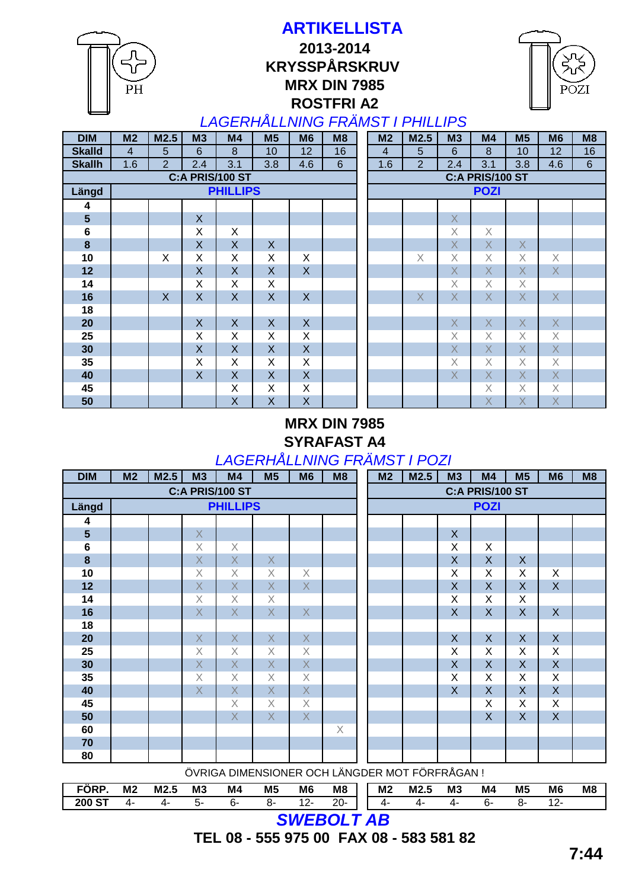**ROSTFRI A2 MRX DIN 7985 ARTIKELLISTA 2013-2014 KRYSSPÅRSKRUV** 

PH



## *LAGERHÅLLNING FRÄMST I PHILLIPS*

| <b>DIM</b>              | M <sub>2</sub> | M2.5                    | M3                      | M4              | M <sub>5</sub> | M <sub>6</sub> | M <sub>8</sub> | M <sub>2</sub> | M2.5           | M3             | M <sub>4</sub>  | M <sub>5</sub>  | M <sub>6</sub>          | M8      |
|-------------------------|----------------|-------------------------|-------------------------|-----------------|----------------|----------------|----------------|----------------|----------------|----------------|-----------------|-----------------|-------------------------|---------|
| <b>Skalld</b>           | $\overline{4}$ | 5                       | 6                       | 8               | 10             | 12             | 16             | $\overline{4}$ | 5              | 6              | 8               | 10 <sup>1</sup> | 12                      | 16      |
| <b>Skallh</b>           | 1.6            | $\overline{2}$          | 2.4                     | 3.1             | 3.8            | 4.6            | $6\phantom{1}$ | 1.6            | $\overline{2}$ | 2.4            | 3.1             | 3.8             | 4.6                     | $\,6\,$ |
|                         |                |                         |                         | C:A PRIS/100 ST |                |                |                |                |                |                | C:A PRIS/100 ST |                 |                         |         |
| Längd                   |                |                         |                         | <b>PHILLIPS</b> |                |                |                |                |                |                | <b>POZI</b>     |                 |                         |         |
| 4                       |                |                         |                         |                 |                |                |                |                |                |                |                 |                 |                         |         |
| $\overline{\mathbf{5}}$ |                |                         | X                       |                 |                |                |                |                |                | $\sf X$        |                 |                 |                         |         |
| $\bf 6$                 |                |                         | X                       | X               |                |                |                |                |                | X              | X               |                 |                         |         |
| $\bf{8}$                |                |                         | $\overline{\mathsf{X}}$ | $\mathsf{X}$    | X              |                |                |                |                | $\overline{X}$ | $\overline{X}$  | X               |                         |         |
| 10                      |                | X                       | X                       | X               | X              | X              |                |                | $\times$       | X              | X               | X               | X                       |         |
| 12                      |                |                         | $\mathsf{X}$            | $\sf X$         | $\mathsf{X}$   | $\mathsf{X}$   |                |                |                | $\overline{X}$ | $\mathsf{X}$    | $\overline{X}$  | $\overline{X}$          |         |
| 14                      |                |                         | X                       | X               | X              |                |                |                |                | X              | X               | X               |                         |         |
| 16                      |                | $\overline{\mathsf{X}}$ | $\mathsf{X}$            | X               | $\sf X$        | $\pmb{\times}$ |                |                | $\sf X$        | $\times$       | X               | $\mathsf{X}$    | $\times$                |         |
| 18                      |                |                         |                         |                 |                |                |                |                |                |                |                 |                 |                         |         |
| 20                      |                |                         | $\mathsf{X}$            | X               | $\mathsf{X}$   | $\mathsf{X}$   |                |                |                | $\mathsf{X}$   | $\mathsf{X}$    | X               | $\mathsf{X}$            |         |
| 25                      |                |                         | X                       | X               | X              | X              |                |                |                | $\times$       | X               | X               | X                       |         |
| 30                      |                |                         | $\mathsf{X}$            | X               | X              | $\mathsf{X}$   |                |                |                | $\times$       | $\mathsf{X}$    | X               | $\overline{X}$          |         |
| 35                      |                |                         | X                       | X               | X              | X              |                |                |                | X              | $\mathsf X$     | X               | X                       |         |
| 40                      |                |                         | $\mathsf{X}$            | X               | X              | $\mathsf{X}$   |                |                |                | $\overline{X}$ | $\mathsf{X}$    | X               | $\mathsf{X}$            |         |
| 45                      |                |                         |                         | Χ               | X              | X              |                |                |                |                | Χ               | X               | X                       |         |
| 50                      |                |                         |                         | X               | $\sf X$        | X              |                |                |                |                | $\overline{X}$  | $\sf X$         | $\overline{\mathsf{X}}$ |         |

#### **MRX DIN 7985 SYRAFAST A4** *LAGERHÅLLNING FRÄMST I POZI*

| <b>DIM</b>      | M <sub>2</sub> | M2.5 | M3             | M4              | M <sub>5</sub> | M <sub>6</sub> | M8 | M <sub>2</sub> | M2.5      | <b>M3</b>    | M4              | M <sub>5</sub>          | M <sub>6</sub>            | M8 |
|-----------------|----------------|------|----------------|-----------------|----------------|----------------|----|----------------|-----------|--------------|-----------------|-------------------------|---------------------------|----|
|                 |                |      |                | C:A PRIS/100 ST |                |                |    |                |           |              | C:A PRIS/100 ST |                         |                           |    |
| Längd           |                |      |                | <b>PHILLIPS</b> |                |                |    |                |           |              | <b>POZI</b>     |                         |                           |    |
| 4               |                |      |                |                 |                |                |    |                |           |              |                 |                         |                           |    |
| $5\phantom{1}$  |                |      | $\sf X$        |                 |                |                |    |                |           | $\sf X$      |                 |                         |                           |    |
| $6\phantom{1}6$ |                |      | X              | $\times$        |                |                |    |                |           | X            | X               |                         |                           |    |
| $\bf{8}$        |                |      | $\sf X$        | $\times$        | $\mathsf{X}$   |                |    |                |           | X            | X               | $\boldsymbol{X}$        |                           |    |
| 10              |                |      | $\times$       | $\times$        | X              | $\times$       |    |                |           | X            | Χ               | X                       | X                         |    |
| 12              |                |      | $\sf X$        | $\sf X$         | $\overline{X}$ | $\sf X$        |    |                |           | $\sf X$      | $\sf X$         | $\overline{X}$          | $\boldsymbol{\mathsf{X}}$ |    |
| 14              |                |      | X              | $\times$        | Χ              |                |    |                |           | X            | Χ               | X                       |                           |    |
| 16              |                |      | $\times$       | $\overline{X}$  | $\times$       | $\overline{X}$ |    |                |           | $\sf X$      | X               | $\overline{X}$          | $\boldsymbol{\mathsf{X}}$ |    |
| 18              |                |      |                |                 |                |                |    |                |           |              |                 |                         |                           |    |
| 20              |                |      | $\sf X$        | $\sf X$         | $\sf X$        | $\sf X$        |    |                |           | $\mathsf{X}$ | $\mathsf{X}$    | $\mathsf{X}$            | $\boldsymbol{\mathsf{X}}$ |    |
| 25              |                |      | $\times$       | $\times$        | X              | X              |    |                |           | X            | Χ               | X                       | X                         |    |
| 30              |                |      | X              | $\overline{X}$  | $\overline{X}$ | $\overline{X}$ |    |                |           | $\sf X$      | $\sf X$         | $\overline{\mathsf{X}}$ | $\overline{X}$            |    |
| 35              |                |      | $\times$       | $\times$        | X              | X              |    |                |           | X            | Χ               | X                       | X                         |    |
| 40              |                |      | $\overline{X}$ | $\mathsf X$     | $\overline{X}$ | $\sf X$        |    |                |           | X            | X               | $\overline{X}$          | $\mathsf{X}$              |    |
| 45              |                |      |                | $\times$        | X              | $\times$       |    |                |           |              | X               | X                       | X                         |    |
| 50              |                |      |                | $\overline{X}$  | $\overline{X}$ | $\overline{X}$ |    |                |           |              | $\sf X$         | $\overline{\mathsf{X}}$ | $\mathsf{X}$              |    |
| 60              |                |      |                |                 |                |                | Χ  |                |           |              |                 |                         |                           |    |
| 70              |                |      |                |                 |                |                |    |                |           |              |                 |                         |                           |    |
| 80              |                |      |                |                 |                |                |    |                | $\ddotsc$ | $\sim$       |                 |                         |                           |    |

ÖVRIGA DIMENSIONER OCH LÄNGDER MOT FÖRFRÅGAN !

| FORP               | M <sub>2</sub> | M2.5 | M <sub>3</sub> | M4 | M <sub>5</sub> | M <sub>6</sub> | M <sub>8</sub> | M <sub>2</sub> | M2.5<br>-5 | M <sub>3</sub> | M <sub>4</sub> | M <sub>5</sub> | M <sub>6</sub> | M <sub>8</sub> |
|--------------------|----------------|------|----------------|----|----------------|----------------|----------------|----------------|------------|----------------|----------------|----------------|----------------|----------------|
| $\sim$<br>200<br>o | 4.             | 21.  | 5              | n. | o٠             | $12-$<br>. .   | 20-            | 4.             |            | 4.             | 'n-            | ∼.             | -ے ،           |                |
|                    |                |      |                |    |                | --------       |                |                |            |                |                |                |                |                |

*SWEBOLT AB*

**TEL 08 - 555 975 00 FAX 08 - 583 581 82**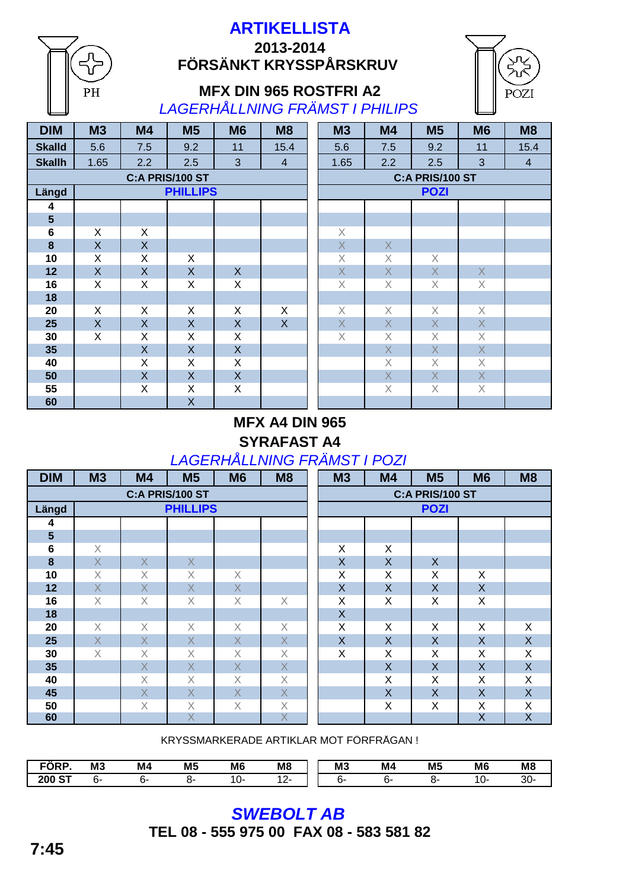## **ARTIKELLISTA 2013-2014 FÖRSÄNKT KRYSSPÅRSKRUV**



#### **MFX DIN 965 ROSTFRI A2** *LAGERHÅLLNING FRÄMST I PHILIPS*

| <b>DIM</b>     | <b>M3</b>    | <b>M4</b>      | M <sub>5</sub>  | M <sub>6</sub> | M <sub>8</sub> | <b>M3</b>   | M4           | M <sub>5</sub>  | <b>M6</b>    | M <sub>8</sub> |
|----------------|--------------|----------------|-----------------|----------------|----------------|-------------|--------------|-----------------|--------------|----------------|
| <b>Skalld</b>  | 5.6          | 7.5            | 9.2             | 11             | 15.4           | 5.6         | 7.5          | 9.2             | 11           | 15.4           |
| <b>Skallh</b>  | 1.65         | 2.2            | 2.5             | 3              | $\overline{4}$ | 1.65        | 2.2          | 2.5             | 3            | $\overline{4}$ |
|                |              |                | C:A PRIS/100 ST |                |                |             |              | C:A PRIS/100 ST |              |                |
| Längd          |              |                | <b>PHILLIPS</b> |                |                |             |              | <b>POZI</b>     |              |                |
| 4              |              |                |                 |                |                |             |              |                 |              |                |
| $5\phantom{a}$ |              |                |                 |                |                |             |              |                 |              |                |
| $\bf 6$        | X            | X              |                 |                |                | $\mathsf X$ |              |                 |              |                |
| 8              | X            | $\mathsf{X}$   |                 |                |                | $\mathsf X$ | X            |                 |              |                |
| 10             | X            | X              | X               |                |                | $\mathsf X$ | X            | $\times$        |              |                |
| 12             | $\mathsf{X}$ | $\mathsf{X}$   | X               | $\mathsf{X}$   |                | $\mathsf X$ | X            | $\mathsf X$     | $\mathsf{X}$ |                |
| 16             | X            | X              | X               | X              |                | $\times$    | X            | $\times$        | X            |                |
| 18             |              |                |                 |                |                |             |              |                 |              |                |
| 20             | X            | X              | X               | X              | X              | $\mathsf X$ | X            | $\times$        | $\mathsf X$  |                |
| 25             | X            | $\overline{X}$ | X               | $\mathsf{X}$   | $\mathsf{X}$   | $\times$    | $\mathsf{X}$ | $\mathsf{X}$    | $\sf X$      |                |
| 30             | X            | X              | X               | X              |                | X           | X            | X               | Χ            |                |
| 35             |              | X              | X               | $\mathsf{X}$   |                |             | X            | $\mathsf{X}$    | X            |                |
| 40             |              | X              | X               | X              |                |             | $\times$     | $\times$        | $\times$     |                |
| 50             |              | $\mathsf{X}$   | X               | $\mathsf{X}$   |                |             | X            | X               | X            |                |
| 55             |              | X              | X               | X              |                |             | X            | $\times$        | $\times$     |                |
| 60             |              |                | X               |                |                |             |              |                 |              |                |

PH

| <b>M3</b>               | M4                                                                                                                                                                                                                                                                                                                                                                                                                                                       | M5                                                                                                                                                             | M6                      | M8                      |
|-------------------------|----------------------------------------------------------------------------------------------------------------------------------------------------------------------------------------------------------------------------------------------------------------------------------------------------------------------------------------------------------------------------------------------------------------------------------------------------------|----------------------------------------------------------------------------------------------------------------------------------------------------------------|-------------------------|-------------------------|
| 5.6                     | 7.5                                                                                                                                                                                                                                                                                                                                                                                                                                                      | 9.2                                                                                                                                                            | 11                      | 15.4                    |
| 1.65                    | 2.2                                                                                                                                                                                                                                                                                                                                                                                                                                                      | 2.5                                                                                                                                                            | 3                       | $\overline{\mathbf{4}}$ |
|                         |                                                                                                                                                                                                                                                                                                                                                                                                                                                          | <b>C:A PRIS/100 ST</b>                                                                                                                                         |                         |                         |
|                         |                                                                                                                                                                                                                                                                                                                                                                                                                                                          | <b>POZI</b>                                                                                                                                                    |                         |                         |
|                         |                                                                                                                                                                                                                                                                                                                                                                                                                                                          |                                                                                                                                                                |                         |                         |
|                         |                                                                                                                                                                                                                                                                                                                                                                                                                                                          |                                                                                                                                                                |                         |                         |
| $\mathsf{X}$            |                                                                                                                                                                                                                                                                                                                                                                                                                                                          |                                                                                                                                                                |                         |                         |
| $\overline{\mathsf{X}}$ | $\mathsf X$                                                                                                                                                                                                                                                                                                                                                                                                                                              |                                                                                                                                                                |                         |                         |
| $\overline{\mathsf{X}}$ | $\mathsf X$                                                                                                                                                                                                                                                                                                                                                                                                                                              | $\mathsf{X}% _{T}=\mathsf{Y}_{T}\!\left( a,b\right) ,\ \mathsf{Y}_{T}=\mathsf{Y}_{T}\!\left( a,b\right) ,\ \mathsf{Y}_{T}=\mathsf{Y}_{T}\!\left( a,b\right) ,$ |                         |                         |
| $\overline{\mathsf{X}}$ | $\overline{X}$                                                                                                                                                                                                                                                                                                                                                                                                                                           | X                                                                                                                                                              | $\mathsf X$             |                         |
| $\overline{\mathsf{X}}$ | $\mathsf X$                                                                                                                                                                                                                                                                                                                                                                                                                                              | $\mathsf X$                                                                                                                                                    | $\times$                |                         |
|                         |                                                                                                                                                                                                                                                                                                                                                                                                                                                          |                                                                                                                                                                |                         |                         |
| $\mathsf{X}$            | $\mathsf{X}% _{T}=\mathsf{Y}_{T}\!\left( a,b\right) ,\ \mathsf{Y}_{T}=\mathsf{Y}_{T}\!\left( a,b\right) ,\ \mathsf{Y}_{T}=\mathsf{Y}_{T}\!\left( a,b\right) ,\ \mathsf{Y}_{T}=\mathsf{Y}_{T}\!\left( a,b\right) ,\ \mathsf{Y}_{T}=\mathsf{Y}_{T}\!\left( a,b\right) ,\ \mathsf{Y}_{T}=\mathsf{Y}_{T}\!\left( a,b\right) ,\ \mathsf{Y}_{T}=\mathsf{Y}_{T}\!\left( a,b\right) ,\ \mathsf{Y}_{T}=\mathsf{Y}_{T}\!\left( a,b\right) ,\ \mathsf{Y}_{T}=\math$ | $\mathsf{X}% _{T}=\mathsf{Y}_{T}\!\left( a,b\right) ,\ \mathsf{Y}_{T}=\mathsf{Y}_{T}\!\left( a,b\right) ,\ \mathsf{Y}_{T}=\mathsf{Y}_{T}\!\left( a,b\right) ,$ | X                       |                         |
| $\overline{\mathsf{X}}$ | $\overline{\mathsf{X}}$                                                                                                                                                                                                                                                                                                                                                                                                                                  | $\mathsf{X}% _{0}$                                                                                                                                             | $\overline{\mathsf{X}}$ |                         |
| $\overline{\mathsf{X}}$ | $\mathsf X$                                                                                                                                                                                                                                                                                                                                                                                                                                              | $\mathsf X$                                                                                                                                                    | $\overline{\mathsf{X}}$ |                         |
|                         | $\overline{\mathsf{X}}$                                                                                                                                                                                                                                                                                                                                                                                                                                  | $\overline{\mathsf{X}}$                                                                                                                                        | $\overline{\mathsf{X}}$ |                         |
|                         | $\times$                                                                                                                                                                                                                                                                                                                                                                                                                                                 | $\mathsf X$                                                                                                                                                    | $\overline{\mathsf{X}}$ |                         |
|                         | $\overline{\mathsf{X}}$                                                                                                                                                                                                                                                                                                                                                                                                                                  | $\mathsf{X}% _{0}$                                                                                                                                             | $\overline{\mathsf{X}}$ |                         |
|                         | $\mathsf X$                                                                                                                                                                                                                                                                                                                                                                                                                                              | X                                                                                                                                                              | $\times$                |                         |
|                         |                                                                                                                                                                                                                                                                                                                                                                                                                                                          |                                                                                                                                                                |                         |                         |

## **MFX A4 DIN 965 SYRAFAST A4** *LAGERHÅLLNING FRÄMST I POZI*

| <b>DIM</b>     | M3      | M <sub>4</sub> | <b>M5</b>       | M <sub>6</sub> | M <sub>8</sub>          | M3 | M4 | <b>M5</b>       | M <sub>6</sub> | M8      |
|----------------|---------|----------------|-----------------|----------------|-------------------------|----|----|-----------------|----------------|---------|
|                |         |                | C:A PRIS/100 ST |                |                         |    |    | C:A PRIS/100 ST |                |         |
| Längd          |         |                | <b>PHILLIPS</b> |                |                         |    |    | <b>POZI</b>     |                |         |
| 4              |         |                |                 |                |                         |    |    |                 |                |         |
| $5\phantom{1}$ |         |                |                 |                |                         |    |    |                 |                |         |
| $\bf 6$        | X       |                |                 |                |                         | X  | X  |                 |                |         |
| 8              | $\sf X$ | $\times$       | $\sf X$         |                |                         | X  | X  | $\times$        |                |         |
| 10             | X       | X              | X               | X              |                         | X  | Χ  | X               | X              |         |
| 12             | $\sf X$ | $\times$       | $\sf X$         | X              |                         | X  | X  | $\sf X$         | $\sf X$        |         |
| 16             | X       | X              | X               | Χ              | X                       | X  | X  | Χ               | X              |         |
| 18             |         |                |                 |                |                         | X  |    |                 |                |         |
| 20             | X       | X              | X               | X              | Χ                       | X  | Χ  | X               | X              | Χ       |
| 25             | $\sf X$ | $\times$       | $\sf X$         | X              | X                       | X  | X  | $\times$        | X              | $\sf X$ |
| 30             | X       | X              | X               | X              | X                       | X  | Χ  | X               | X              | Χ       |
| 35             |         | $\times$       | $\sf X$         | $\times$       | $\mathsf{X}$            |    | X  | X               | $\sf X$        | $\sf X$ |
| 40             |         | X              | Χ               | X              | X                       |    | Χ  | X               | X              | X       |
| 45             |         | X              | X               | $\times$       | $\times$                |    | X  | X               | X              | $\sf X$ |
| 50             |         | X              | Χ               | Χ              | Χ                       |    | X  | X               | X              | X       |
| 60             |         |                | $\times$        |                | $\overline{\mathsf{X}}$ |    |    |                 | X              | X       |

KRYSSMARKERADE ARTIKLAR MOT FÖRFRÅGAN !

| <b>FÖRP</b>   | M <sub>3</sub> | M <sub>4</sub> | M <sub>5</sub> | M <sub>6</sub> | M <sub>8</sub>                | M <sub>3</sub> | M <sub>4</sub> | M <sub>5</sub> | M <sub>6</sub> | M <sub>8</sub> |
|---------------|----------------|----------------|----------------|----------------|-------------------------------|----------------|----------------|----------------|----------------|----------------|
| <b>200 ST</b> | n-             | r v-           | ∽.             | .              | $\overline{\phantom{0}}$<br>- | n-             |                | n-             | .U*            | ົ<br>-JU-      |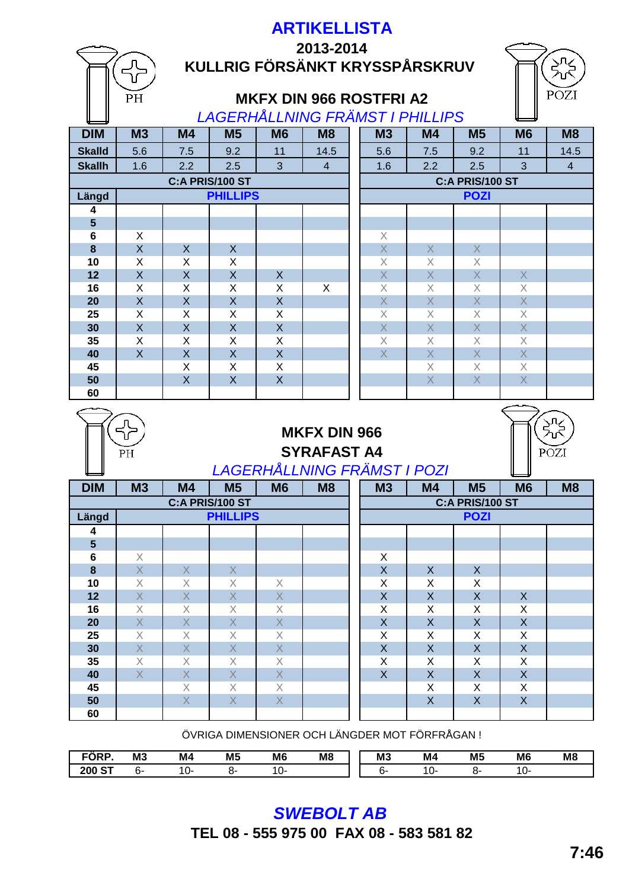|                 |                               |                                     |                            |                                        | 2013-2014                       |                           |                           |                            |                            |                |
|-----------------|-------------------------------|-------------------------------------|----------------------------|----------------------------------------|---------------------------------|---------------------------|---------------------------|----------------------------|----------------------------|----------------|
|                 |                               |                                     |                            |                                        | KULLRIG FÖRSÄNKT KRYSSPÅRSKRUV  |                           |                           |                            |                            |                |
|                 |                               |                                     |                            |                                        |                                 |                           |                           |                            |                            |                |
|                 |                               |                                     |                            |                                        |                                 |                           |                           |                            |                            | POZI           |
|                 | PH                            |                                     |                            |                                        | <b>MKFX DIN 966 ROSTFRI A2</b>  |                           |                           |                            |                            |                |
|                 |                               |                                     |                            |                                        | LAGERHÅLLNING FRÄMST I PHILLIPS |                           |                           |                            |                            |                |
| <b>DIM</b>      | M <sub>3</sub>                | M <sub>4</sub>                      | M <sub>5</sub>             | M <sub>6</sub>                         | M8                              | M3                        | M <sub>4</sub>            | M <sub>5</sub>             | <b>M6</b>                  | M8             |
| <b>Skalld</b>   | 5.6                           | 7.5                                 | 9.2                        | 11                                     | 14.5                            | 5.6                       | 7.5                       | 9.2                        | 11                         | 14.5           |
| <b>Skallh</b>   | 1.6                           | 2.2                                 | 2.5                        | 3                                      | $\overline{4}$                  | 1.6                       | 2.2                       | 2.5                        | 3                          | $\overline{4}$ |
| C:A PRIS/100 ST |                               |                                     |                            |                                        |                                 |                           |                           | C:A PRIS/100 ST            |                            |                |
| Längd           |                               |                                     | <b>PHILLIPS</b>            |                                        |                                 | <b>POZI</b>               |                           |                            |                            |                |
| 4               |                               |                                     |                            |                                        |                                 |                           |                           |                            |                            |                |
| 5               |                               |                                     |                            |                                        |                                 |                           |                           |                            |                            |                |
| 6               | X                             |                                     |                            |                                        |                                 | $\times$                  |                           |                            |                            |                |
| 8               | $\overline{X}$                | $\mathsf{X}$                        | $\mathsf{X}$               |                                        |                                 | $\overline{X}$            | $\mathsf{X}% _{0}$        | $\mathsf X$                |                            |                |
| 10              | X                             | X                                   | X                          |                                        |                                 | $\times$                  | $\times$                  | $\times$                   |                            |                |
| 12              | $\mathsf{X}$                  | $\overline{X}$                      | $\mathsf{X}$               | $\mathsf{X}$                           |                                 | $\overline{X}$            | $\sf X$                   | $\mathsf X$                | $\mathsf{X}$               |                |
| 16              | X                             | X                                   | X                          | X                                      | X                               | $\times$                  | X                         | $\times$                   | $\times$                   |                |
| 20              | $\overline{X}$                | $\mathsf{X}$                        | $\mathsf{X}$               | $\overline{X}$                         |                                 | $\overline{X}$            | $\sf X$                   | $\bar{\mathsf{X}}$         | $\mathsf X$                |                |
| 25              | X                             | X                                   | X                          | X                                      |                                 | $\times$                  | X                         | $\mathsf X$                | $\chi$                     |                |
| 30              | $\mathsf{X}$                  | $\overline{X}$                      | $\overline{X}$             | $\overline{X}$                         |                                 | $\overline{X}$            | $\overline{X}$            | $\overline{X}$             | $\overline{X}$             |                |
| 35              | X                             | X                                   | X                          | X                                      |                                 | X                         | X                         | $\times$                   | $\times$                   |                |
| 40              | $\mathsf{X}$                  | $\overline{X}$                      | $\mathsf{X}$               | $\overline{X}$                         |                                 | $\overline{X}$            | $\overline{X}$            | $\overline{\mathsf{X}}$    | $\overline{X}$             |                |
| 45              |                               | X<br>$\overline{X}$                 | X                          | X<br>$\mathsf{X}$                      |                                 |                           | X<br>$\overline{X}$       | $\times$<br>$\overline{X}$ | $\times$<br>$\overline{X}$ |                |
| 50              |                               |                                     | $\sf X$                    |                                        |                                 |                           |                           |                            |                            |                |
|                 |                               |                                     |                            |                                        |                                 |                           |                           |                            |                            |                |
| 60              |                               |                                     |                            |                                        |                                 |                           |                           |                            |                            |                |
|                 |                               |                                     |                            |                                        |                                 |                           |                           |                            |                            |                |
|                 |                               |                                     |                            |                                        | <b>MKFX DIN 966</b>             |                           |                           |                            |                            |                |
|                 |                               |                                     |                            |                                        |                                 |                           |                           |                            |                            |                |
|                 | PH                            |                                     |                            |                                        | <b>SYRAFAST A4</b>              |                           |                           |                            |                            | POZI           |
|                 |                               |                                     |                            |                                        | LAGERHÅLLNING FRÄMST I POZI     |                           |                           |                            |                            |                |
| <b>DIM</b>      | M3                            | M4                                  | <b>M5</b>                  | <b>M6</b>                              | M <sub>8</sub>                  | <b>M3</b>                 | M4                        | M <sub>5</sub>             | M <sub>6</sub>             | M8             |
|                 |                               |                                     | C:A PRIS/100 ST            |                                        |                                 |                           |                           | C:A PRIS/100 ST            |                            |                |
| Längd           |                               |                                     | <b>PHILLIPS</b>            |                                        |                                 |                           |                           | <b>POZI</b>                |                            |                |
| 4               |                               |                                     |                            |                                        |                                 |                           |                           |                            |                            |                |
| $5\phantom{1}$  |                               |                                     |                            |                                        |                                 |                           |                           |                            |                            |                |
| 6               | X                             |                                     |                            |                                        |                                 | X                         |                           |                            |                            |                |
| $\bf{8}$        | $\mathsf X$                   | X                                   | $\mathsf{X}$               |                                        |                                 | $\boldsymbol{\mathsf{X}}$ | $\boldsymbol{\mathsf{X}}$ | $\mathsf{X}$               |                            |                |
| 10              | $\mathsf X$                   | X                                   | $\boldsymbol{\times}$      | $\times$                               |                                 | X                         | X                         | X                          |                            |                |
| 12              | $\mathsf X$                   | $\mathsf{X}% _{0}$                  | $\mathsf X$                | $\mathsf X$                            |                                 | $\mathsf{X}$              | $\mathsf{X}$              | $\mathsf X$                | $\mathsf{X}$               |                |
| 16              | $\mathsf X$                   | $\times$                            | $\mathsf X$                | $\mathsf X$                            |                                 | X                         | X                         | X                          | X                          |                |
| 20              | $\overline{X}$                | $\overline{X}$                      | $\overline{X}$<br>$\times$ | $\overline{X}$                         |                                 | $\overline{X}$<br>X       | $\mathsf{X}$<br>X         | $\mathsf X$                | $\mathsf{X}$               |                |
| 25<br>30        | $\mathsf X$<br>$\overline{X}$ | $\times$<br>$\overline{\mathsf{X}}$ | $\overline{X}$             | $\mathsf X$                            |                                 | $\mathsf{X}% _{0}$        | $\mathsf{X}$              | X                          | X<br>$\mathsf{X}$          |                |
| 35              | $\mathsf X$                   | X                                   | $\times$                   | $\overline{\mathsf{X}}$<br>$\mathsf X$ |                                 | X                         | X                         | $\mathsf X$<br>X           | X                          |                |
| 40              | $\overline{X}$                | $\mathsf{X}% _{0}$                  | $\mathsf X$                | $\mathsf X$                            |                                 | $\sf X$                   | $\mathsf X$               | $\mathsf X$                | $\mathsf{X}$               |                |
| 45              |                               | $\overline{\mathsf{X}}$             | X                          | $\mathsf X$                            |                                 |                           | X                         | X                          | X                          |                |
| 50              |                               | $\overline{X}$                      | $\sf X$                    | $\mathsf X$                            |                                 |                           | $\mathsf{X}$              | $\boldsymbol{\mathsf{X}}$  | $\mathsf X$                |                |
| 60              |                               |                                     |                            |                                        |                                 |                           |                           |                            |                            |                |

| FÖRP.      | M <sub>3</sub> | M4     | M <sub>5</sub> | M <sub>6</sub> | M <sub>8</sub> | M <sub>3</sub> | M4 | M <sub>5</sub><br>__ | M <sub>6</sub> | M <sub>8</sub> |
|------------|----------------|--------|----------------|----------------|----------------|----------------|----|----------------------|----------------|----------------|
| $200S^{+}$ | . .            | £<br>v |                | ιr             |                | n.             |    | ∽.                   | . .            |                |

*SWEBOLT AB* **TEL 08 - 555 975 00 FAX 08 - 583 581 82**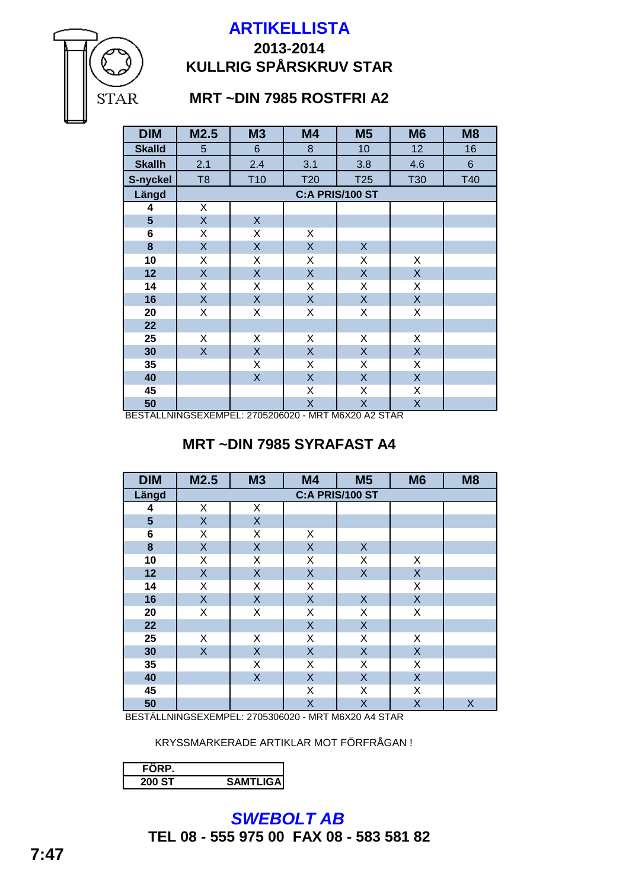# **2013-2014 KULLRIG SPÅRSKRUV STAR**

# **MRT ~DIN 7985 ROSTFRI A2**

**STAR** 

| <b>DIM</b>     | M2.5           | <b>M3</b>          | <b>M4</b>               | M <sub>5</sub>  | M <sub>6</sub> | M <sub>8</sub> |
|----------------|----------------|--------------------|-------------------------|-----------------|----------------|----------------|
| <b>Skalld</b>  | 5              | $6\phantom{1}$     | 8                       | 10              | 12             | 16             |
| <b>Skallh</b>  | 2.1            | 2.4                | 3.1                     | 3.8             | 4.6            | $6\phantom{.}$ |
| S-nyckel       | T <sub>8</sub> | T <sub>10</sub>    | T20                     | T25             | T30            | <b>T40</b>     |
| Längd          |                |                    |                         | C:A PRIS/100 ST |                |                |
| 4              | X              |                    |                         |                 |                |                |
| $5\phantom{1}$ | $\mathsf{X}$   | X                  |                         |                 |                |                |
| 6              | X              | X                  | X                       |                 |                |                |
| 8              | $\mathsf{X}$   | X                  | $\mathsf{X}% _{0}$      | $\mathsf{X}$    |                |                |
| 10             | X              | Χ                  | X                       | Χ               | X              |                |
| 12             | $\mathsf{X}$   | X                  | $\sf X$                 | X               | X              |                |
| 14             | X              | Χ                  | X                       | X               | X              |                |
| 16             | X              | X                  | $\mathsf{X}$            | X               | $\mathsf{X}$   |                |
| 20             | X              | Χ                  | X                       | X               | Χ              |                |
| 22             |                |                    |                         |                 |                |                |
| 25             | X              | X                  | Χ                       | X               | X              |                |
| 30             | $\mathsf{X}$   | $\sf X$            | $\mathsf{X}$            | X               | X              |                |
| 35             |                | X                  | X                       | X               | X              |                |
| 40             |                | $\mathsf{X}% _{0}$ | $\mathsf{X}$            | $\mathsf{X}$    | X              |                |
| 45             |                |                    | X                       | X               | X              |                |
| 50             |                |                    | $\overline{\mathsf{X}}$ | X               | X              |                |

BESTÄLLNINGSEXEMPEL: 2705206020 - MRT M6X20 A2 STAR

# **MRT ~DIN 7985 SYRAFAST A4**

| <b>DIM</b>              | M2.5         | <b>M3</b>       | M4           | M <sub>5</sub> | M <sub>6</sub> | M <sub>8</sub> |  |  |  |
|-------------------------|--------------|-----------------|--------------|----------------|----------------|----------------|--|--|--|
| Längd                   |              | C:A PRIS/100 ST |              |                |                |                |  |  |  |
| 4                       | Χ            | Χ               |              |                |                |                |  |  |  |
| $\overline{\mathbf{5}}$ | X            | $\sf X$         |              |                |                |                |  |  |  |
| 6                       | Χ            | X               | X            |                |                |                |  |  |  |
| 8                       | X            | X               | $\mathsf{X}$ | $\mathsf{X}$   |                |                |  |  |  |
| 10                      | Χ            | X               | X            | X              | X              |                |  |  |  |
| 12                      | X            | $\mathsf{X}$    | $\mathsf X$  | $\mathsf{X}$   | X              |                |  |  |  |
| 14                      | Χ            | X               | Χ            |                | X              |                |  |  |  |
| 16                      | $\mathsf{X}$ | $\mathsf{X}$    | $\mathsf X$  | $\mathsf{X}$   | X              |                |  |  |  |
| 20                      | X            | Χ               | $\mathsf X$  | X              | X              |                |  |  |  |
| 22                      |              |                 | $\mathsf{X}$ | $\mathsf{X}$   |                |                |  |  |  |
| 25                      | X            | Χ               | Χ            | X              | X              |                |  |  |  |
| 30                      | X            | $\sf X$         | X            | $\mathsf X$    | $\mathsf X$    |                |  |  |  |
| 35                      |              | X               | Χ            | X              | X              |                |  |  |  |
| 40                      |              | $\sf X$         | $\mathsf X$  | $\mathsf X$    | $\mathsf X$    |                |  |  |  |
| 45                      |              |                 | Χ            | X              | X              |                |  |  |  |
| 50                      |              |                 | X            | $\sf X$        | X              | $\sf X$        |  |  |  |

BESTÄLLNINGSEXEMPEL: 2705306020 - MRT M6X20 A4 STAR

KRYSSMARKERADE ARTIKLAR MOT FÖRFRÅGAN !

| 200 ST | <b>SAMTLIGA</b> |
|--------|-----------------|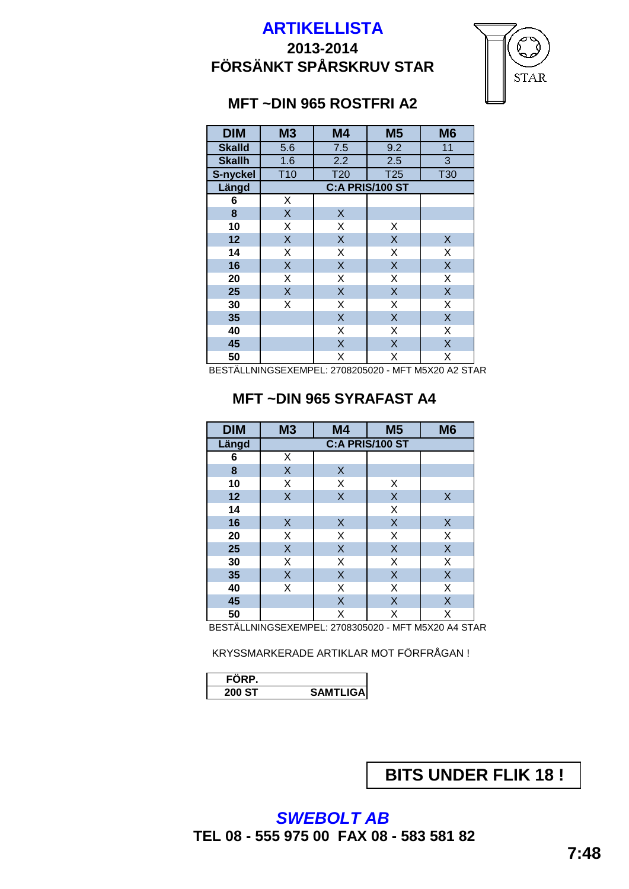# **2013-2014 FÖRSÄNKT SPÅRSKRUV STAR**



# **MFT ~DIN 965 ROSTFRI A2**

| <b>DIM</b>    | M <sub>3</sub>  | <b>M4</b>                 | <b>M5</b>       | M <sub>6</sub>          |
|---------------|-----------------|---------------------------|-----------------|-------------------------|
| <b>Skalld</b> | 5.6             | 7.5                       | 9.2             | 11                      |
| <b>Skallh</b> | 1.6             | 2.2                       | 2.5             | 3                       |
| S-nyckel      | T <sub>10</sub> | <b>T20</b>                | <b>T25</b>      | <b>T30</b>              |
| Längd         |                 |                           | C:A PRIS/100 ST |                         |
| 6             | Χ               |                           |                 |                         |
| 8             | X               | $\boldsymbol{\mathsf{X}}$ |                 |                         |
| 10            | X               | X                         | X               |                         |
| 12            | X               | $\sf X$                   | $\sf X$         | $\pmb{\mathsf{X}}$      |
| 14            | X               | X                         | X               | X                       |
| 16            | X               | $\sf X$                   | $\sf X$         | $\sf X$                 |
| 20            | X               | X                         | X               | X                       |
| 25            | X               | $\sf X$                   | $\sf X$         | $\overline{\mathsf{X}}$ |
| 30            | X               | X                         | X               | X                       |
| 35            |                 | $\overline{\mathsf{X}}$   | $\sf X$         | $\overline{\mathsf{X}}$ |
| 40            |                 | X                         | Χ               | X                       |
| 45            |                 | $\sf X$                   | $\sf X$         | $\overline{\mathsf{X}}$ |
| 50            |                 | Χ                         | Χ               | Χ                       |

BESTÄLLNINGSEXEMPEL: 2708205020 - MFT M5X20 A2 STAR

#### **MFT ~DIN 965 SYRAFAST A4**

| <b>DIM</b> | <b>M3</b>               | M <sub>4</sub>          | M <sub>5</sub>          | M <sub>6</sub> |  |  |  |
|------------|-------------------------|-------------------------|-------------------------|----------------|--|--|--|
| Längd      | C:A PRIS/100 ST         |                         |                         |                |  |  |  |
| 6          | Χ                       |                         |                         |                |  |  |  |
| 8          | $\sf X$                 | $\sf X$                 |                         |                |  |  |  |
| 10         | X                       | X                       | X                       |                |  |  |  |
| 12         | $\overline{\mathsf{X}}$ | $\overline{\mathsf{X}}$ | $\sf X$                 | $\times$       |  |  |  |
| 14         |                         |                         | X                       |                |  |  |  |
| 16         | $\boldsymbol{X}$        | $\sf X$                 | $\sf X$                 | $\sf X$        |  |  |  |
| 20         | X                       | Χ                       | X                       | Χ              |  |  |  |
| 25         | $\sf X$                 | $\sf X$                 | $\sf X$                 | X              |  |  |  |
| 30         | $\overline{\mathsf{x}}$ | X                       | $\overline{\mathsf{x}}$ | Χ              |  |  |  |
| 35         | $\sf X$                 | $\sf X$                 | $\sf X$                 | X              |  |  |  |
| 40         | X                       | X                       | X                       | Χ              |  |  |  |
| 45         |                         | X                       | X                       | X              |  |  |  |
| 50         |                         | X                       | Χ                       | X              |  |  |  |

BESTÄLLNINGSEXEMPEL: 2708305020 - MFT M5X20 A4 STAR

KRYSSMARKERADE ARTIKLAR MOT FÖRFRÅGAN !

| D      |                  |
|--------|------------------|
| 200 ST | <b>SAMTLIGA!</b> |

**BITS UNDER FLIK 18 !**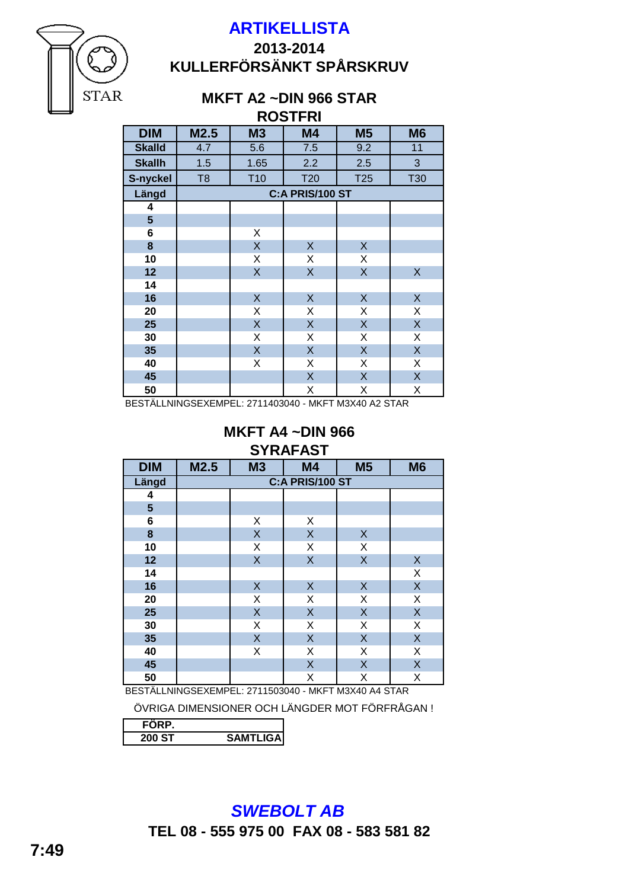

# **2013-2014 KULLERFÖRSÄNKT SPÅRSKRUV**

#### **ROSTFRI MKFT A2 ~DIN 966 STAR**

**STAR** 

|                |                |                 | <b>RUSIFRI</b>  |                           |            |
|----------------|----------------|-----------------|-----------------|---------------------------|------------|
| <b>DIM</b>     | M2.5           | <b>M3</b>       | M4              | M <sub>5</sub>            | <b>M6</b>  |
| <b>Skalld</b>  | 4.7            | 5.6             | 7.5             | 9.2                       | 11         |
| <b>Skallh</b>  | 1.5            | 1.65            | 2.2             | 2.5                       | 3          |
| S-nyckel       | T <sub>8</sub> | T <sub>10</sub> | T <sub>20</sub> | T <sub>25</sub>           | <b>T30</b> |
| Längd          |                |                 | C:A PRIS/100 ST |                           |            |
| 4              |                |                 |                 |                           |            |
| $5\phantom{1}$ |                |                 |                 |                           |            |
| 6              |                | X               |                 |                           |            |
| $\bf{8}$       |                | $\mathsf{X}$    | X               | X                         |            |
| 10             |                | X               | X               | Χ                         |            |
| 12             |                | $\mathsf{X}$    | $\sf X$         | $\mathsf X$               | $\sf X$    |
| 14             |                |                 |                 |                           |            |
| 16             |                | $\sf X$         | $\sf X$         | X                         | X          |
| 20             |                | X               | Χ               | X                         | Χ          |
| 25             |                | $\mathsf{X}$    | $\sf X$         | $\mathsf X$               | $\sf X$    |
| 30             |                | X               | Χ               | X                         | Χ          |
| 35             |                | $\mathsf{X}$    | $\sf X$         | X                         | X          |
| 40             |                | X               | Χ               | X                         | Χ          |
| 45             |                |                 | $\sf X$         | $\boldsymbol{\mathsf{X}}$ | $\sf X$    |
| 50             |                |                 | Χ               | X                         | X          |

BESTÄLLNINGSEXEMPEL: 2711403040 - MKFT M3X40 A2 STAR

#### **MKFT A4 ~DIN 966 SYRAFAST**

|            |      |              | .               |                |                  |
|------------|------|--------------|-----------------|----------------|------------------|
| <b>DIM</b> | M2.5 | <b>M3</b>    | M4              | M <sub>5</sub> | M <sub>6</sub>   |
| Längd      |      |              | C:A PRIS/100 ST |                |                  |
| 4          |      |              |                 |                |                  |
| 5          |      |              |                 |                |                  |
| 6          |      | X            | Χ               |                |                  |
| $\bf 8$    |      | $\mathsf{X}$ | $\sf X$         | $\mathsf X$    |                  |
| 10         |      | X            | Χ               | X              |                  |
| 12         |      | $\mathsf{X}$ | $\mathsf{X}$    | $\mathsf{X}$   | $\boldsymbol{X}$ |
| 14         |      |              |                 |                | X                |
| 16         |      | $\mathsf{X}$ | $\mathsf X$     | $\mathsf X$    | $\sf X$          |
| 20         |      | X            | X               | Χ              | Χ                |
| 25         |      | $\sf X$      | X               | $\sf X$        | $\sf X$          |
| 30         |      | X            | Χ               | Χ              | Χ                |
| 35         |      | X            | X               | $\sf X$        | X                |
| 40         |      | X            | Χ               | X              | X                |
| 45         |      |              | $\sf X$         | $\sf X$        | X                |
| 50         |      |              | Χ               | X              | X                |

BESTÄLLNINGSEXEMPEL: 2711503040 - MKFT M3X40 A4 STAR

ÖVRIGA DIMENSIONER OCH LÄNGDER MOT FÖRFRÅGAN !

| s | <b>ITLIGAI</b> |
|---|----------------|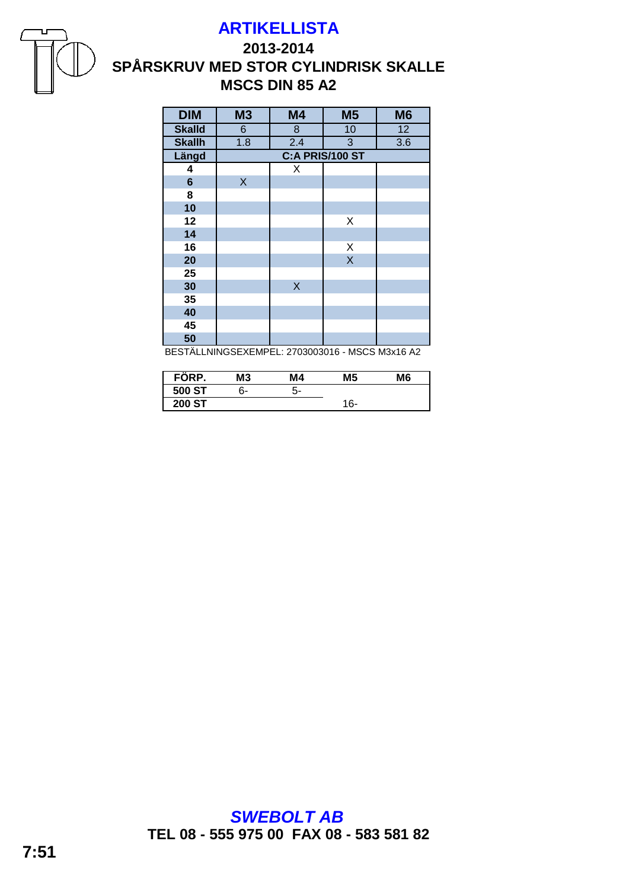



## **2013-2014 SPÅRSKRUV MED STOR CYLINDRISK SKALLE MSCS DIN 85 A2**

| <b>DIM</b>     | <b>M3</b>       | <b>M4</b>               | <b>M5</b> | M <sub>6</sub> |
|----------------|-----------------|-------------------------|-----------|----------------|
| <b>Skalld</b>  | $6\phantom{1}$  | 8                       | 10        | 12             |
| <b>Skallh</b>  | 1.8             | 2.4                     | 3         | 3.6            |
| Längd          | C:A PRIS/100 ST |                         |           |                |
| 4              |                 | X                       |           |                |
| $6\phantom{1}$ | X               |                         |           |                |
| 8              |                 |                         |           |                |
| 10             |                 |                         |           |                |
| 12             |                 |                         | X         |                |
| 14             |                 |                         |           |                |
| 16             |                 |                         | X         |                |
| 20             |                 |                         | $\sf X$   |                |
| 25             |                 |                         |           |                |
| 30             |                 | $\overline{\mathsf{X}}$ |           |                |
| 35             |                 |                         |           |                |
| 40             |                 |                         |           |                |
| 45             |                 |                         |           |                |
| 50             |                 |                         |           |                |

BESTÄLLNINGSEXEMPEL: 2703003016 - MSCS M3x16 A2

| $\mathbf{r}$<br>FORP. | M3 | Μ4 | M5  | M6 |
|-----------------------|----|----|-----|----|
| 500 ST                | 6- | 5- |     |    |
| <b>200 ST</b>         |    |    | 16- |    |